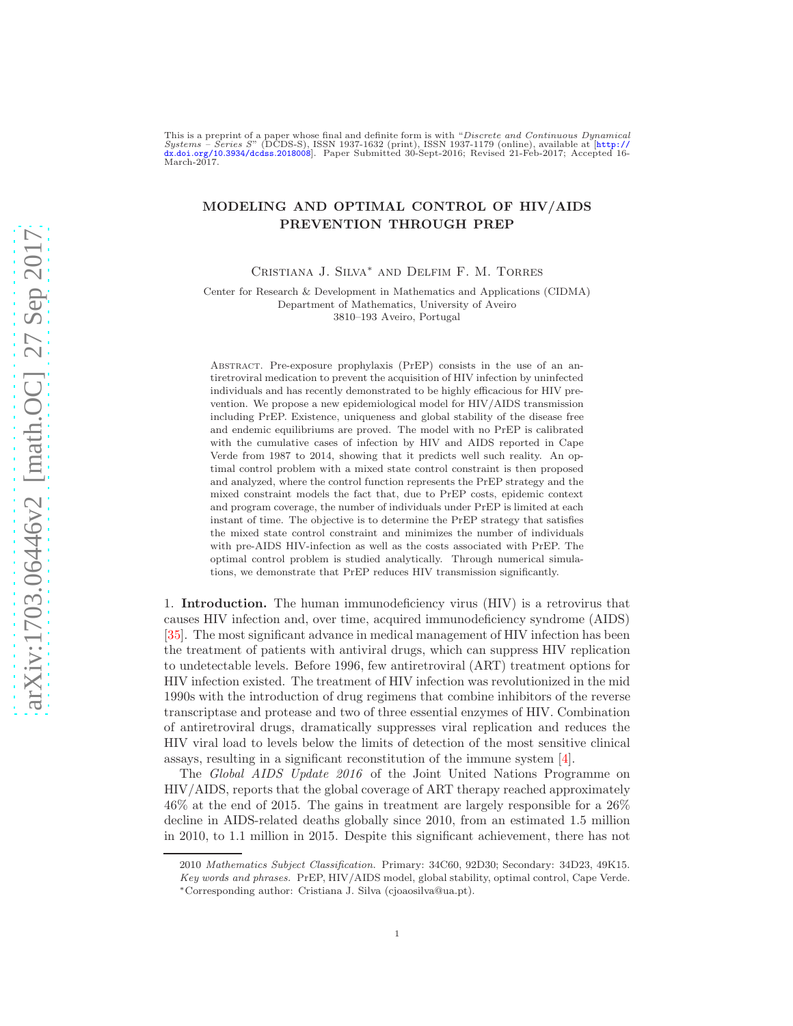This is a preprint of a paper whose final and definite form is with "Discrete and Continuous Dynamical Systems – Series S" (DCDS-S), ISSN 1937-1632 (print), ISSN 1937-1179 (online), available at [[http://](http://dx.doi.org/10.3934/dcdss.2018008) dx.doi.org/10.[3934/dcdss](http://dx.doi.org/10.3934/dcdss.2018008).2018008]. Paper Submitted 30-Sept-2016; Revised 21-Feb-2017; Accepted 16- March-2017.

## MODELING AND OPTIMAL CONTROL OF HIV/AIDS PREVENTION THROUGH PREP

Cristiana J. Silva<sup>∗</sup> and Delfim F. M. Torres

Center for Research & Development in Mathematics and Applications (CIDMA) Department of Mathematics, University of Aveiro 3810–193 Aveiro, Portugal

Abstract. Pre-exposure prophylaxis (PrEP) consists in the use of an antiretroviral medication to prevent the acquisition of HIV infection by uninfected individuals and has recently demonstrated to be highly efficacious for HIV prevention. We propose a new epidemiological model for HIV/AIDS transmission including PrEP. Existence, uniqueness and global stability of the disease free and endemic equilibriums are proved. The model with no PrEP is calibrated with the cumulative cases of infection by HIV and AIDS reported in Cape Verde from 1987 to 2014, showing that it predicts well such reality. An optimal control problem with a mixed state control constraint is then proposed and analyzed, where the control function represents the PrEP strategy and the mixed constraint models the fact that, due to PrEP costs, epidemic context and program coverage, the number of individuals under PrEP is limited at each instant of time. The objective is to determine the PrEP strategy that satisfies the mixed state control constraint and minimizes the number of individuals with pre-AIDS HIV-infection as well as the costs associated with PrEP. The optimal control problem is studied analytically. Through numerical simulations, we demonstrate that PrEP reduces HIV transmission significantly.

1. Introduction. The human immunodeficiency virus (HIV) is a retrovirus that causes HIV infection and, over time, acquired immunodeficiency syndrome (AIDS) [\[35\]](#page-22-0). The most significant advance in medical management of HIV infection has been the treatment of patients with antiviral drugs, which can suppress HIV replication to undetectable levels. Before 1996, few antiretroviral (ART) treatment options for HIV infection existed. The treatment of HIV infection was revolutionized in the mid 1990s with the introduction of drug regimens that combine inhibitors of the reverse transcriptase and protease and two of three essential enzymes of HIV. Combination of antiretroviral drugs, dramatically suppresses viral replication and reduces the HIV viral load to levels below the limits of detection of the most sensitive clinical assays, resulting in a significant reconstitution of the immune system [\[4\]](#page-21-0).

The Global AIDS Update 2016 of the Joint United Nations Programme on HIV/AIDS, reports that the global coverage of ART therapy reached approximately 46% at the end of 2015. The gains in treatment are largely responsible for a 26% decline in AIDS-related deaths globally since 2010, from an estimated 1.5 million in 2010, to 1.1 million in 2015. Despite this significant achievement, there has not

<sup>2010</sup> *Mathematics Subject Classification.* Primary: 34C60, 92D30; Secondary: 34D23, 49K15. *Key words and phrases.* PrEP, HIV/AIDS model, global stability, optimal control, Cape Verde. <sup>∗</sup>Corresponding author: Cristiana J. Silva (cjoaosilva@ua.pt).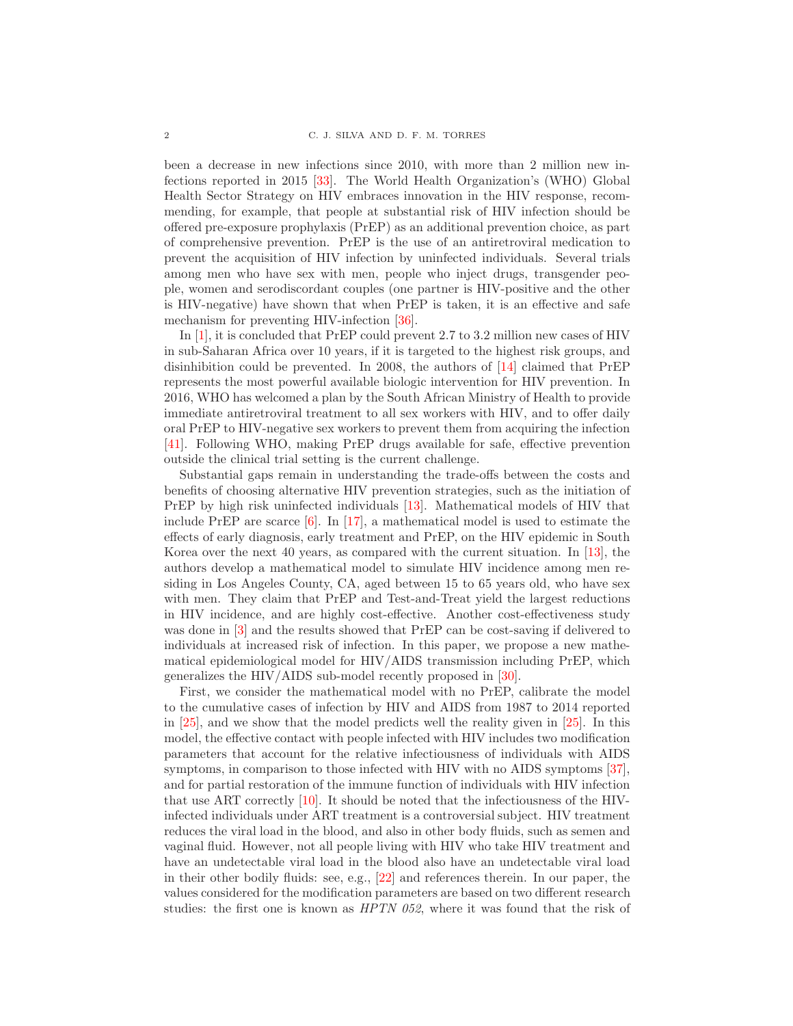been a decrease in new infections since 2010, with more than 2 million new infections reported in 2015 [\[33\]](#page-22-1). The World Health Organization's (WHO) Global Health Sector Strategy on HIV embraces innovation in the HIV response, recommending, for example, that people at substantial risk of HIV infection should be offered pre-exposure prophylaxis (PrEP) as an additional prevention choice, as part of comprehensive prevention. PrEP is the use of an antiretroviral medication to prevent the acquisition of HIV infection by uninfected individuals. Several trials among men who have sex with men, people who inject drugs, transgender people, women and serodiscordant couples (one partner is HIV-positive and the other is HIV-negative) have shown that when PrEP is taken, it is an effective and safe mechanism for preventing HIV-infection [\[36\]](#page-22-2).

In [\[1\]](#page-20-0), it is concluded that PrEP could prevent 2.7 to 3.2 million new cases of HIV in sub-Saharan Africa over 10 years, if it is targeted to the highest risk groups, and disinhibition could be prevented. In 2008, the authors of [\[14\]](#page-21-1) claimed that PrEP represents the most powerful available biologic intervention for HIV prevention. In 2016, WHO has welcomed a plan by the South African Ministry of Health to provide immediate antiretroviral treatment to all sex workers with HIV, and to offer daily oral PrEP to HIV-negative sex workers to prevent them from acquiring the infection [\[41\]](#page-22-3). Following WHO, making PrEP drugs available for safe, effective prevention outside the clinical trial setting is the current challenge.

Substantial gaps remain in understanding the trade-offs between the costs and benefits of choosing alternative HIV prevention strategies, such as the initiation of PrEP by high risk uninfected individuals [\[13\]](#page-21-2). Mathematical models of HIV that include PrEP are scarce [\[6\]](#page-21-3). In [\[17\]](#page-21-4), a mathematical model is used to estimate the effects of early diagnosis, early treatment and PrEP, on the HIV epidemic in South Korea over the next 40 years, as compared with the current situation. In [\[13\]](#page-21-2), the authors develop a mathematical model to simulate HIV incidence among men residing in Los Angeles County, CA, aged between 15 to 65 years old, who have sex with men. They claim that PrEP and Test-and-Treat yield the largest reductions in HIV incidence, and are highly cost-effective. Another cost-effectiveness study was done in [\[3\]](#page-21-5) and the results showed that PrEP can be cost-saving if delivered to individuals at increased risk of infection. In this paper, we propose a new mathematical epidemiological model for HIV/AIDS transmission including PrEP, which generalizes the HIV/AIDS sub-model recently proposed in [\[30\]](#page-22-4).

First, we consider the mathematical model with no PrEP, calibrate the model to the cumulative cases of infection by HIV and AIDS from 1987 to 2014 reported in [\[25\]](#page-21-6), and we show that the model predicts well the reality given in [\[25\]](#page-21-6). In this model, the effective contact with people infected with HIV includes two modification parameters that account for the relative infectiousness of individuals with AIDS symptoms, in comparison to those infected with HIV with no AIDS symptoms [\[37\]](#page-22-5), and for partial restoration of the immune function of individuals with HIV infection that use ART correctly [\[10\]](#page-21-7). It should be noted that the infectiousness of the HIVinfected individuals under ART treatment is a controversial subject. HIV treatment reduces the viral load in the blood, and also in other body fluids, such as semen and vaginal fluid. However, not all people living with HIV who take HIV treatment and have an undetectable viral load in the blood also have an undetectable viral load in their other bodily fluids: see, e.g., [\[22\]](#page-21-8) and references therein. In our paper, the values considered for the modification parameters are based on two different research studies: the first one is known as HPTN 052, where it was found that the risk of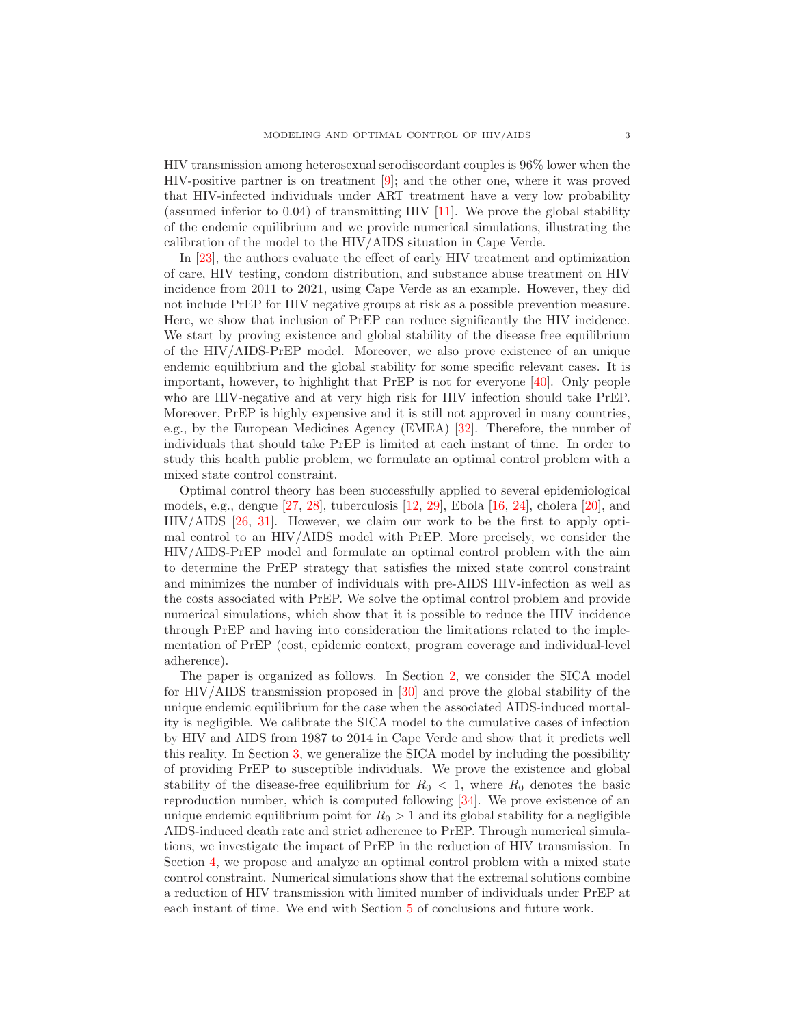HIV transmission among heterosexual serodiscordant couples is 96% lower when the HIV-positive partner is on treatment  $[9]$ ; and the other one, where it was proved that HIV-infected individuals under ART treatment have a very low probability (assumed inferior to  $0.04$ ) of transmitting HIV [\[11\]](#page-21-10). We prove the global stability of the endemic equilibrium and we provide numerical simulations, illustrating the calibration of the model to the HIV/AIDS situation in Cape Verde.

In [\[23\]](#page-21-11), the authors evaluate the effect of early HIV treatment and optimization of care, HIV testing, condom distribution, and substance abuse treatment on HIV incidence from 2011 to 2021, using Cape Verde as an example. However, they did not include PrEP for HIV negative groups at risk as a possible prevention measure. Here, we show that inclusion of PrEP can reduce significantly the HIV incidence. We start by proving existence and global stability of the disease free equilibrium of the HIV/AIDS-PrEP model. Moreover, we also prove existence of an unique endemic equilibrium and the global stability for some specific relevant cases. It is important, however, to highlight that  $PrEP$  is not for everyone [\[40\]](#page-22-6). Only people who are HIV-negative and at very high risk for HIV infection should take PrEP. Moreover, PrEP is highly expensive and it is still not approved in many countries, e.g., by the European Medicines Agency (EMEA) [\[32\]](#page-22-7). Therefore, the number of individuals that should take PrEP is limited at each instant of time. In order to study this health public problem, we formulate an optimal control problem with a mixed state control constraint.

Optimal control theory has been successfully applied to several epidemiological models, e.g., dengue [\[27,](#page-22-8) [28\]](#page-22-9), tuberculosis [\[12,](#page-21-12) [29\]](#page-22-10), Ebola [\[16,](#page-21-13) [24\]](#page-21-14), cholera [\[20\]](#page-21-15), and HIV/AIDS [\[26,](#page-21-16) [31\]](#page-22-11). However, we claim our work to be the first to apply optimal control to an HIV/AIDS model with PrEP. More precisely, we consider the HIV/AIDS-PrEP model and formulate an optimal control problem with the aim to determine the PrEP strategy that satisfies the mixed state control constraint and minimizes the number of individuals with pre-AIDS HIV-infection as well as the costs associated with PrEP. We solve the optimal control problem and provide numerical simulations, which show that it is possible to reduce the HIV incidence through PrEP and having into consideration the limitations related to the implementation of PrEP (cost, epidemic context, program coverage and individual-level adherence).

The paper is organized as follows. In Section [2,](#page-3-0) we consider the SICA model for HIV/AIDS transmission proposed in [\[30\]](#page-22-4) and prove the global stability of the unique endemic equilibrium for the case when the associated AIDS-induced mortality is negligible. We calibrate the SICA model to the cumulative cases of infection by HIV and AIDS from 1987 to 2014 in Cape Verde and show that it predicts well this reality. In Section [3,](#page-7-0) we generalize the SICA model by including the possibility of providing PrEP to susceptible individuals. We prove the existence and global stability of the disease-free equilibrium for  $R_0 < 1$ , where  $R_0$  denotes the basic reproduction number, which is computed following [\[34\]](#page-22-12). We prove existence of an unique endemic equilibrium point for  $R_0 > 1$  and its global stability for a negligible AIDS-induced death rate and strict adherence to PrEP. Through numerical simulations, we investigate the impact of PrEP in the reduction of HIV transmission. In Section [4,](#page-14-0) we propose and analyze an optimal control problem with a mixed state control constraint. Numerical simulations show that the extremal solutions combine a reduction of HIV transmission with limited number of individuals under PrEP at each instant of time. We end with Section [5](#page-19-0) of conclusions and future work.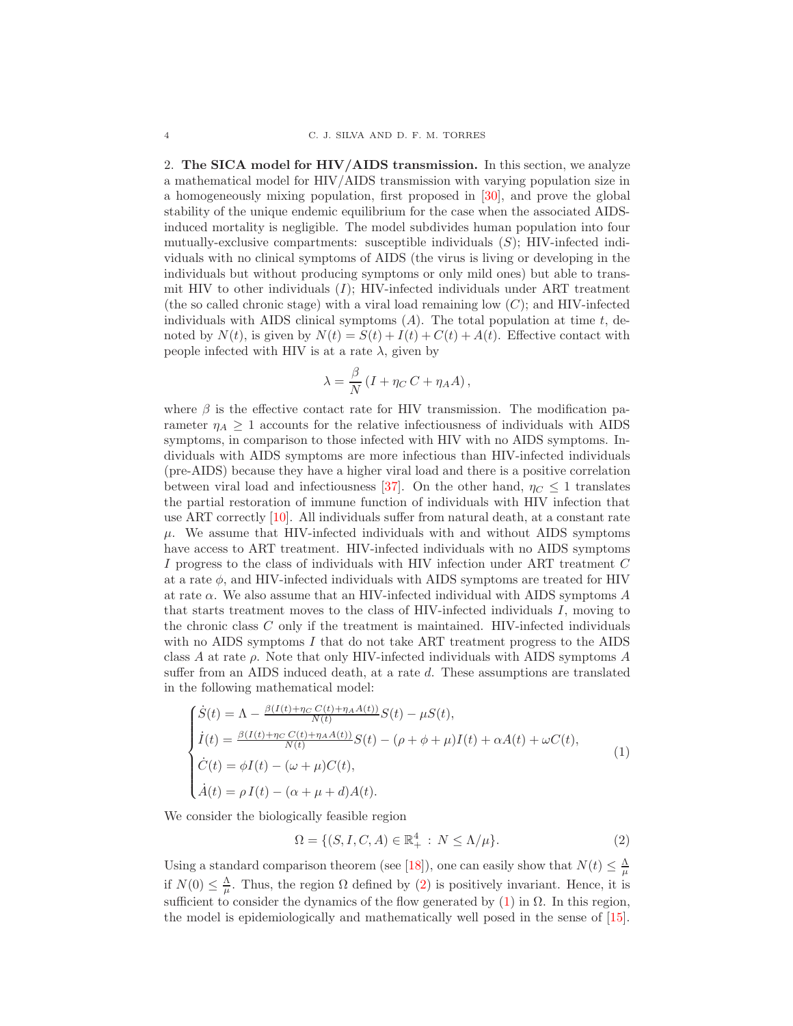<span id="page-3-0"></span>2. The SICA model for HIV/AIDS transmission. In this section, we analyze a mathematical model for HIV/AIDS transmission with varying population size in a homogeneously mixing population, first proposed in [\[30\]](#page-22-4), and prove the global stability of the unique endemic equilibrium for the case when the associated AIDSinduced mortality is negligible. The model subdivides human population into four mutually-exclusive compartments: susceptible individuals  $(S)$ ; HIV-infected individuals with no clinical symptoms of AIDS (the virus is living or developing in the individuals but without producing symptoms or only mild ones) but able to transmit HIV to other individuals  $(I)$ ; HIV-infected individuals under ART treatment (the so called chronic stage) with a viral load remaining low  $(C)$ ; and HIV-infected individuals with AIDS clinical symptoms  $(A)$ . The total population at time t, denoted by  $N(t)$ , is given by  $N(t) = S(t) + I(t) + C(t) + A(t)$ . Effective contact with people infected with HIV is at a rate  $\lambda$ , given by

$$
\lambda = \frac{\beta}{N} \left( I + \eta_C C + \eta_A A \right),
$$

where  $\beta$  is the effective contact rate for HIV transmission. The modification parameter  $\eta_A \geq 1$  accounts for the relative infectiousness of individuals with AIDS symptoms, in comparison to those infected with HIV with no AIDS symptoms. Individuals with AIDS symptoms are more infectious than HIV-infected individuals (pre-AIDS) because they have a higher viral load and there is a positive correlation between viral load and infectiousness [\[37\]](#page-22-5). On the other hand,  $\eta_C \leq 1$  translates the partial restoration of immune function of individuals with HIV infection that use ART correctly [\[10\]](#page-21-7). All individuals suffer from natural death, at a constant rate  $\mu$ . We assume that HIV-infected individuals with and without AIDS symptoms have access to ART treatment. HIV-infected individuals with no AIDS symptoms I progress to the class of individuals with HIV infection under ART treatment C at a rate  $\phi$ , and HIV-infected individuals with AIDS symptoms are treated for HIV at rate  $\alpha$ . We also assume that an HIV-infected individual with AIDS symptoms  $A$ that starts treatment moves to the class of HIV-infected individuals  $I$ , moving to the chronic class C only if the treatment is maintained. HIV-infected individuals with no AIDS symptoms  $I$  that do not take ART treatment progress to the AIDS class A at rate  $\rho$ . Note that only HIV-infected individuals with AIDS symptoms A suffer from an AIDS induced death, at a rate d. These assumptions are translated in the following mathematical model:

<span id="page-3-2"></span>
$$
\begin{cases}\n\dot{S}(t) = \Lambda - \frac{\beta(I(t) + \eta_C C(t) + \eta_A A(t))}{N(t)} S(t) - \mu S(t), \\
\dot{I}(t) = \frac{\beta(I(t) + \eta_C C(t) + \eta_A A(t))}{N(t)} S(t) - (\rho + \phi + \mu)I(t) + \alpha A(t) + \omega C(t), \\
\dot{C}(t) = \phi I(t) - (\omega + \mu)C(t), \\
\dot{A}(t) = \rho I(t) - (\alpha + \mu + d)A(t).\n\end{cases}
$$
\n(1)

We consider the biologically feasible region

<span id="page-3-1"></span>
$$
\Omega = \{ (S, I, C, A) \in \mathbb{R}_+^4 : N \le \Lambda/\mu \}. \tag{2}
$$

Using a standard comparison theorem (see [\[18\]](#page-21-17)), one can easily show that  $N(t) \leq \frac{\Lambda}{\mu}$ if  $N(0) \leq \frac{\Lambda}{\mu}$ . Thus, the region  $\Omega$  defined by [\(2\)](#page-3-1) is positively invariant. Hence, it is sufficient to consider the dynamics of the flow generated by  $(1)$  in  $\Omega$ . In this region, the model is epidemiologically and mathematically well posed in the sense of [\[15\]](#page-21-18).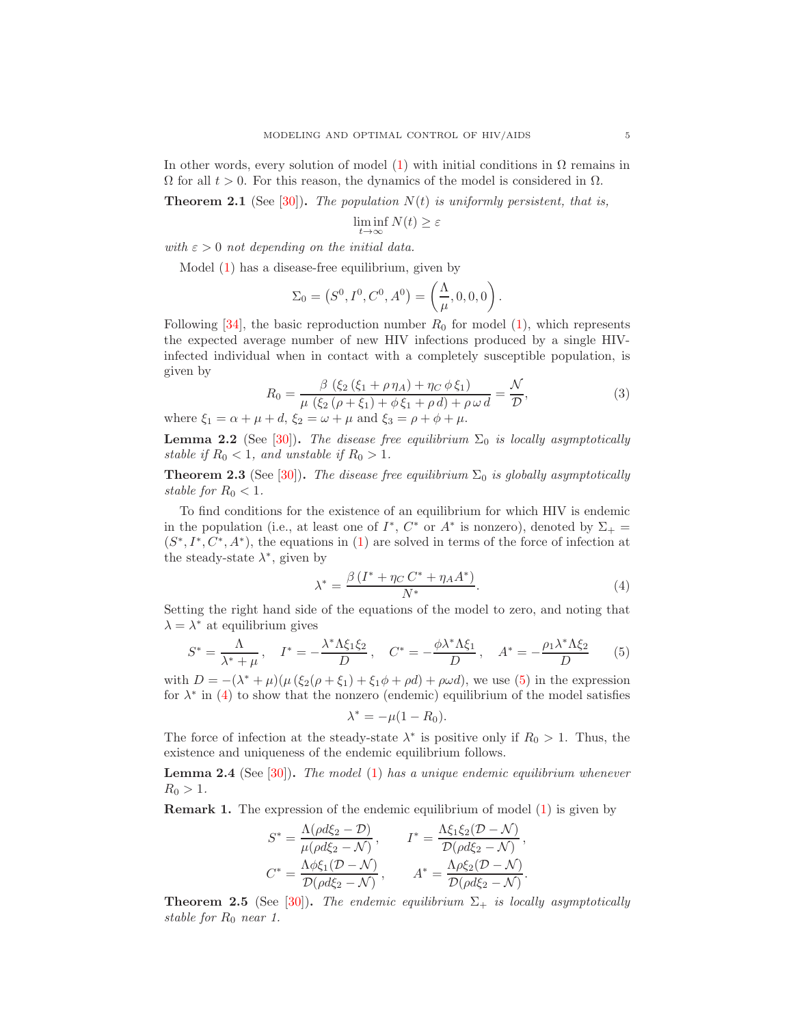In other words, every solution of model [\(1\)](#page-3-2) with initial conditions in  $\Omega$  remains in  $\Omega$  for all  $t > 0$ . For this reason, the dynamics of the model is considered in  $\Omega$ .

**Theorem 2.1** (See [\[30\]](#page-22-4)). The population  $N(t)$  is uniformly persistent, that is,

$$
\liminf_{t \to \infty} N(t) \ge \varepsilon
$$

with  $\varepsilon > 0$  not depending on the initial data.

Model [\(1\)](#page-3-2) has a disease-free equilibrium, given by

$$
\Sigma_0 = (S^0, I^0, C^0, A^0) = \left(\frac{\Lambda}{\mu}, 0, 0, 0\right).
$$

Following  $[34]$ , the basic reproduction number  $R_0$  for model  $(1)$ , which represents the expected average number of new HIV infections produced by a single HIVinfected individual when in contact with a completely susceptible population, is given by

<span id="page-4-2"></span>
$$
R_0 = \frac{\beta (\xi_2 (\xi_1 + \rho \eta_A) + \eta_C \phi \xi_1)}{\mu (\xi_2 (\rho + \xi_1) + \phi \xi_1 + \rho d) + \rho \omega d} = \frac{\mathcal{N}}{\mathcal{D}},
$$
(3)

where  $\xi_1 = \alpha + \mu + d$ ,  $\xi_2 = \omega + \mu$  and  $\xi_3 = \rho + \phi + \mu$ .

**Lemma 2.2** (See [\[30\]](#page-22-4)). The disease free equilibrium  $\Sigma_0$  is locally asymptotically stable if  $R_0 < 1$ , and unstable if  $R_0 > 1$ .

**Theorem 2.3** (See [\[30\]](#page-22-4)). The disease free equilibrium  $\Sigma_0$  is globally asymptotically stable for  $R_0 < 1$ .

To find conditions for the existence of an equilibrium for which HIV is endemic in the population (i.e., at least one of  $I^*$ ,  $C^*$  or  $A^*$  is nonzero), denoted by  $\Sigma_+$  =  $(S^*, I^*, C^*, A^*)$ , the equations in [\(1\)](#page-3-2) are solved in terms of the force of infection at the steady-state  $\lambda^*$ , given by

<span id="page-4-1"></span>
$$
\lambda^* = \frac{\beta \left(I^* + \eta_C C^* + \eta_A A^*\right)}{N^*}.\tag{4}
$$

Setting the right hand side of the equations of the model to zero, and noting that  $\lambda = \lambda^*$  at equilibrium gives

<span id="page-4-0"></span>
$$
S^* = \frac{\Lambda}{\lambda^* + \mu}, \quad I^* = -\frac{\lambda^* \Lambda \xi_1 \xi_2}{D}, \quad C^* = -\frac{\phi \lambda^* \Lambda \xi_1}{D}, \quad A^* = -\frac{\rho_1 \lambda^* \Lambda \xi_2}{D} \tag{5}
$$

with  $D = -(\lambda^* + \mu)(\mu(\xi_2(\rho + \xi_1) + \xi_1\phi + \rho d) + \rho\omega d)$ , we use [\(5\)](#page-4-0) in the expression for  $\lambda^*$  in [\(4\)](#page-4-1) to show that the nonzero (endemic) equilibrium of the model satisfies

$$
\lambda^* = -\mu(1 - R_0).
$$

The force of infection at the steady-state  $\lambda^*$  is positive only if  $R_0 > 1$ . Thus, the existence and uniqueness of the endemic equilibrium follows.

**Lemma 2.4** (See [\[30\]](#page-22-4)). The model [\(1\)](#page-3-2) has a unique endemic equilibrium whenever  $R_0 > 1$ .

Remark 1. The expression of the endemic equilibrium of model [\(1\)](#page-3-2) is given by

$$
S^* = \frac{\Lambda(\rho d\xi_2 - \mathcal{D})}{\mu(\rho d\xi_2 - \mathcal{N})}, \qquad I^* = \frac{\Lambda\xi_1\xi_2(\mathcal{D} - \mathcal{N})}{\mathcal{D}(\rho d\xi_2 - \mathcal{N})},
$$
  

$$
C^* = \frac{\Lambda\phi\xi_1(\mathcal{D} - \mathcal{N})}{\mathcal{D}(\rho d\xi_2 - \mathcal{N})}, \qquad A^* = \frac{\Lambda\rho\xi_2(\mathcal{D} - \mathcal{N})}{\mathcal{D}(\rho d\xi_2 - \mathcal{N})}.
$$

**Theorem 2.5** (See [\[30\]](#page-22-4)). The endemic equilibrium  $\Sigma_{+}$  is locally asymptotically stable for  $R_0$  near 1.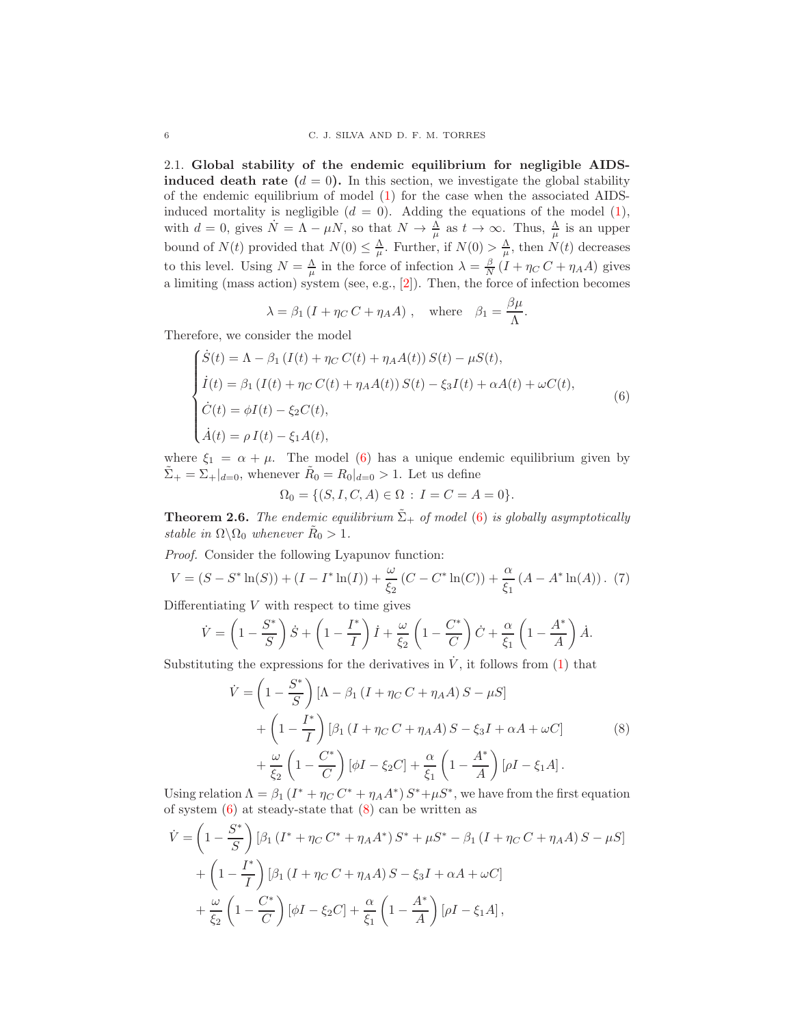2.1. Global stability of the endemic equilibrium for negligible AIDS**induced death rate**  $(d = 0)$ . In this section, we investigate the global stability of the endemic equilibrium of model [\(1\)](#page-3-2) for the case when the associated AIDSinduced mortality is negligible  $(d = 0)$ . Adding the equations of the model  $(1)$ , with  $d = 0$ , gives  $\dot{N} = \Lambda - \mu N$ , so that  $N \to \frac{\Lambda}{\mu}$  as  $t \to \infty$ . Thus,  $\frac{\Lambda}{\mu}$  is an upper bound of  $N(t)$  provided that  $N(0) \leq \frac{\Lambda}{\mu}$ . Further, if  $N(0) > \frac{\Lambda}{\mu}$ , then  $N(t)$  decreases to this level. Using  $N = \frac{\Lambda}{\mu}$  in the force of infection  $\lambda = \frac{\beta}{N} (I + \eta_C C + \eta_A A)$  gives a limiting (mass action) system (see, e.g., [\[2\]](#page-21-19)). Then, the force of infection becomes

$$
\lambda = \beta_1 (I + \eta_C C + \eta_A A)
$$
, where  $\beta_1 = \frac{\beta \mu}{\Lambda}$ .

Therefore, we consider the model

<span id="page-5-0"></span>
$$
\begin{cases}\n\dot{S}(t) = \Lambda - \beta_1 (I(t) + \eta_C C(t) + \eta_A A(t)) S(t) - \mu S(t), \\
\dot{I}(t) = \beta_1 (I(t) + \eta_C C(t) + \eta_A A(t)) S(t) - \xi_3 I(t) + \alpha A(t) + \omega C(t), \\
\dot{C}(t) = \phi I(t) - \xi_2 C(t), \\
\dot{A}(t) = \rho I(t) - \xi_1 A(t),\n\end{cases} (6)
$$

where  $\xi_1 = \alpha + \mu$ . The model [\(6\)](#page-5-0) has a unique endemic equilibrium given by  $\tilde{\Sigma}_{+} = \Sigma_{+}|_{d=0}$ , whenever  $\tilde{R}_{0} = R_{0}|_{d=0} > 1$ . Let us define

$$
\Omega_0 = \{ (S, I, C, A) \in \Omega : I = C = A = 0 \}.
$$

**Theorem 2.6.** The endemic equilibrium  $\tilde{\Sigma}_+$  of model [\(6\)](#page-5-0) is globally asymptotically stable in  $\Omega \backslash \Omega_0$  whenever  $\tilde{R}_0 > 1$ .

Proof. Consider the following Lyapunov function:

<span id="page-5-2"></span>
$$
V = (S - S^* \ln(S)) + (I - I^* \ln(I)) + \frac{\omega}{\xi_2} (C - C^* \ln(C)) + \frac{\alpha}{\xi_1} (A - A^* \ln(A)).
$$
 (7)

Differentiating  $V$  with respect to time gives

$$
\dot{V} = \left(1 - \frac{S^*}{S}\right)\dot{S} + \left(1 - \frac{I^*}{I}\right)\dot{I} + \frac{\omega}{\xi_2}\left(1 - \frac{C^*}{C}\right)\dot{C} + \frac{\alpha}{\xi_1}\left(1 - \frac{A^*}{A}\right)\dot{A}.
$$

Substituting the expressions for the derivatives in  $\dot{V}$ , it follows from [\(1\)](#page-3-2) that

$$
\dot{V} = \left(1 - \frac{S^*}{S}\right) \left[\Lambda - \beta_1 \left(I + \eta_C C + \eta_A A\right)S - \mu S\right] \n+ \left(1 - \frac{I^*}{I}\right) \left[\beta_1 \left(I + \eta_C C + \eta_A A\right)S - \xi_3 I + \alpha A + \omega C\right] \n+ \frac{\omega}{\xi_2} \left(1 - \frac{C^*}{C}\right) \left[\phi I - \xi_2 C\right] + \frac{\alpha}{\xi_1} \left(1 - \frac{A^*}{A}\right) \left[\rho I - \xi_1 A\right].
$$
\n(8)

<span id="page-5-1"></span>Using relation  $\Lambda = \beta_1 (I^* + \eta_C C^* + \eta_A A^*) S^* + \mu S^*$ , we have from the first equation of system  $(6)$  at steady-state that  $(8)$  can be written as

$$
\dot{V} = \left(1 - \frac{S^*}{S}\right) [\beta_1 (I^* + \eta_C C^* + \eta_A A^*) S^* + \mu S^* - \beta_1 (I + \eta_C C + \eta_A A) S - \mu S] \n+ \left(1 - \frac{I^*}{I}\right) [\beta_1 (I + \eta_C C + \eta_A A) S - \xi_3 I + \alpha A + \omega C] \n+ \frac{\omega}{\xi_2} \left(1 - \frac{C^*}{C}\right) [\phi I - \xi_2 C] + \frac{\alpha}{\xi_1} \left(1 - \frac{A^*}{A}\right) [\rho I - \xi_1 A],
$$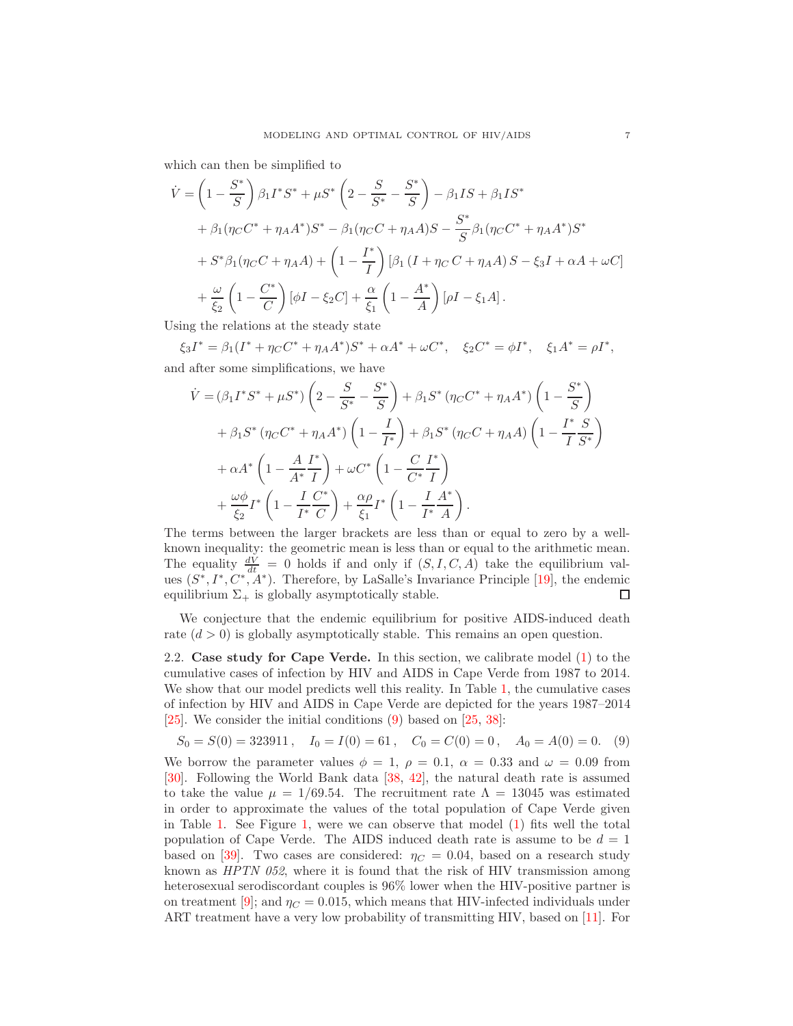which can then be simplified to

$$
\dot{V} = \left(1 - \frac{S^*}{S}\right)\beta_1 I^* S^* + \mu S^* \left(2 - \frac{S}{S^*} - \frac{S^*}{S}\right) - \beta_1 IS + \beta_1 IS^* \n+ \beta_1 (\eta_C C^* + \eta_A A^*) S^* - \beta_1 (\eta_C C + \eta_A A) S - \frac{S^*}{S}\beta_1 (\eta_C C^* + \eta_A A^*) S^* \n+ S^* \beta_1 (\eta_C C + \eta_A A) + \left(1 - \frac{I^*}{I}\right) [\beta_1 (I + \eta_C C + \eta_A A) S - \xi_3 I + \alpha A + \omega C] \n+ \frac{\omega}{\xi_2} \left(1 - \frac{C^*}{C}\right) [\phi I - \xi_2 C] + \frac{\alpha}{\xi_1} \left(1 - \frac{A^*}{A}\right) [\rho I - \xi_1 A].
$$

Using the relations at the steady state

 $\xi_3 I^* = \beta_1 (I^* + \eta_C C^* + \eta_A A^*) S^* + \alpha A^* + \omega C^*, \quad \xi_2 C^* = \phi I^*, \quad \xi_1 A^* = \rho I^*,$ and after some simplifications, we have

$$
\dot{V} = (\beta_1 I^* S^* + \mu S^*) \left( 2 - \frac{S}{S^*} - \frac{S^*}{S} \right) + \beta_1 S^* \left( \eta_C C^* + \eta_A A^* \right) \left( 1 - \frac{S^*}{S} \right) \n+ \beta_1 S^* \left( \eta_C C^* + \eta_A A^* \right) \left( 1 - \frac{I}{I^*} \right) + \beta_1 S^* \left( \eta_C C + \eta_A A \right) \left( 1 - \frac{I^*}{I} \frac{S}{S^*} \right) \n+ \alpha A^* \left( 1 - \frac{A}{A^*} \frac{I^*}{I} \right) + \omega C^* \left( 1 - \frac{C}{C^*} \frac{I^*}{I} \right) \n+ \frac{\omega \phi}{\xi_2} I^* \left( 1 - \frac{I}{I^*} \frac{C^*}{C} \right) + \frac{\alpha \rho}{\xi_1} I^* \left( 1 - \frac{I}{I^*} \frac{A^*}{A} \right).
$$

The terms between the larger brackets are less than or equal to zero by a wellknown inequality: the geometric mean is less than or equal to the arithmetic mean. The equality  $\frac{dV}{dt} = 0$  holds if and only if  $(S, I, C, A)$  take the equilibrium values  $(S^*, I^*, C^*, A^*)$ . Therefore, by LaSalle's Invariance Principle [\[19\]](#page-21-20), the endemic equilibrium  $\Sigma_{+}$  is globally asymptotically stable. □

We conjecture that the endemic equilibrium for positive AIDS-induced death rate  $(d > 0)$  is globally asymptotically stable. This remains an open question.

2.2. Case study for Cape Verde. In this section, we calibrate model [\(1\)](#page-3-2) to the cumulative cases of infection by HIV and AIDS in Cape Verde from 1987 to 2014. We show that our model predicts well this reality. In Table [1,](#page-7-1) the cumulative cases of infection by HIV and AIDS in Cape Verde are depicted for the years 1987–2014 [\[25\]](#page-21-6). We consider the initial conditions [\(9\)](#page-6-0) based on [\[25,](#page-21-6) [38\]](#page-22-13):

<span id="page-6-0"></span>
$$
S_0 = S(0) = 323911
$$
,  $I_0 = I(0) = 61$ ,  $C_0 = C(0) = 0$ ,  $A_0 = A(0) = 0$ . (9)

We borrow the parameter values  $\phi = 1$ ,  $\rho = 0.1$ ,  $\alpha = 0.33$  and  $\omega = 0.09$  from [\[30\]](#page-22-4). Following the World Bank data [\[38,](#page-22-13) [42\]](#page-22-14), the natural death rate is assumed to take the value  $\mu = 1/69.54$ . The recruitment rate  $\Lambda = 13045$  was estimated in order to approximate the values of the total population of Cape Verde given in Table [1.](#page-7-1) See Figure [1,](#page-7-2) were we can observe that model [\(1\)](#page-3-2) fits well the total population of Cape Verde. The AIDS induced death rate is assume to be  $d = 1$ based on [\[39\]](#page-22-15). Two cases are considered:  $\eta_C = 0.04$ , based on a research study known as  $HPTN$  052, where it is found that the risk of HIV transmission among heterosexual serodiscordant couples is 96% lower when the HIV-positive partner is on treatment [\[9\]](#page-21-9); and  $\eta_C = 0.015$ , which means that HIV-infected individuals under ART treatment have a very low probability of transmitting HIV, based on [\[11\]](#page-21-10). For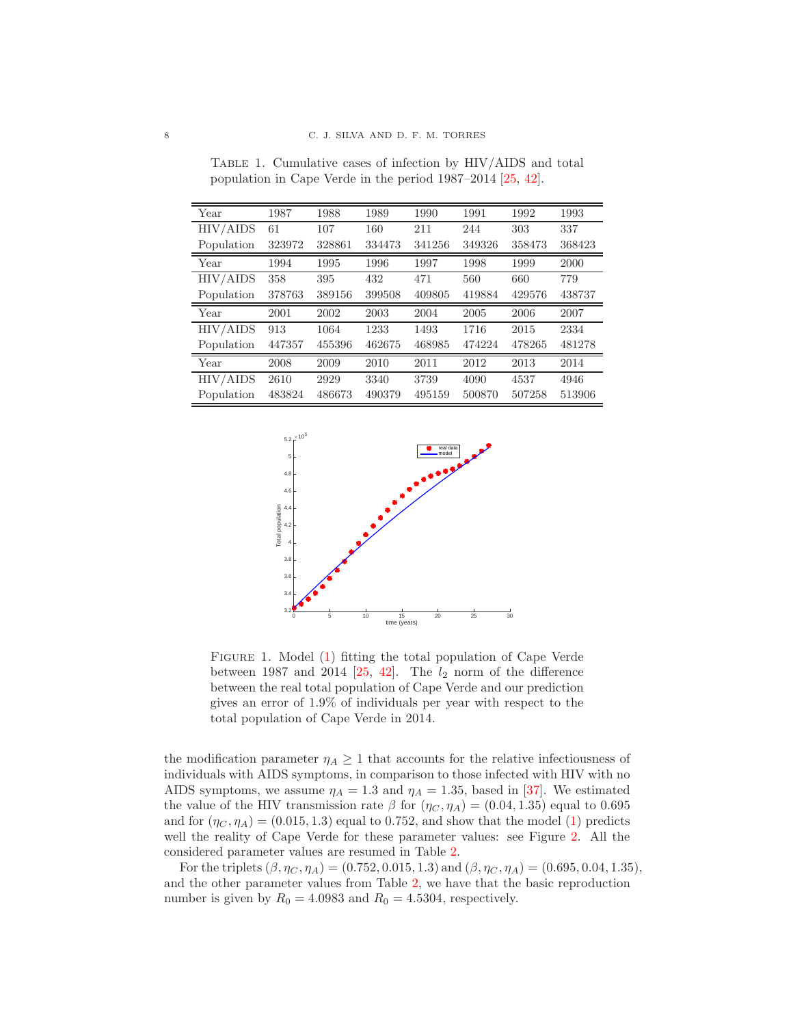| Year       | 1987   | 1988   | 1989   | 1990   | 1991   | 1992   | 1993   |
|------------|--------|--------|--------|--------|--------|--------|--------|
| HIV/AIDS   | 61     | 107    | 160    | 211    | 244    | 303    | 337    |
| Population | 323972 | 328861 | 334473 | 341256 | 349326 | 358473 | 368423 |
| Year       | 1994   | 1995   | 1996   | 1997   | 1998   | 1999   | 2000   |
| HIV/AIDS   | 358    | 395    | 432    | 471    | 560    | 660    | 779    |
| Population | 378763 | 389156 | 399508 | 409805 | 419884 | 429576 | 438737 |
| Year       | 2001   | 2002   | 2003   | 2004   | 2005   | 2006   | 2007   |
| HIV/AIDS   | 913    | 1064   | 1233   | 1493   | 1716   | 2015   | 2334   |
| Population | 447357 | 455396 | 462675 | 468985 | 474224 | 478265 | 481278 |
| Year       | 2008   | 2009   | 2010   | 2011   | 2012   | 2013   | 2014   |
| HIV/AIDS   | 2610   | 2929   | 3340   | 3739   | 4090   | 4537   | 4946   |
| Population | 483824 | 486673 | 490379 | 495159 | 500870 | 507258 | 513906 |

<span id="page-7-1"></span>Table 1. Cumulative cases of infection by HIV/AIDS and total population in Cape Verde in the period 1987–2014 [\[25,](#page-21-6) [42\]](#page-22-14).

<span id="page-7-2"></span>

FIGURE 1. Model [\(1\)](#page-3-2) fitting the total population of Cape Verde between 1987 and 2014 [\[25,](#page-21-6) [42\]](#page-22-14). The  $l_2$  norm of the difference between the real total population of Cape Verde and our prediction gives an error of 1.9% of individuals per year with respect to the total population of Cape Verde in 2014.

the modification parameter  $\eta_A \geq 1$  that accounts for the relative infectiousness of individuals with AIDS symptoms, in comparison to those infected with HIV with no AIDS symptoms, we assume  $\eta_A = 1.3$  and  $\eta_A = 1.35$ , based in [\[37\]](#page-22-5). We estimated the value of the HIV transmission rate  $\beta$  for  $(\eta_C, \eta_A) = (0.04, 1.35)$  equal to 0.695 and for  $(\eta_C, \eta_A) = (0.015, 1.3)$  equal to 0.752, and show that the model [\(1\)](#page-3-2) predicts well the reality of Cape Verde for these parameter values: see Figure [2.](#page-8-0) All the considered parameter values are resumed in Table [2.](#page-8-1)

<span id="page-7-0"></span>For the triplets  $(\beta, \eta_C, \eta_A) = (0.752, 0.015, 1.3)$  and  $(\beta, \eta_C, \eta_A) = (0.695, 0.04, 1.35)$ , and the other parameter values from Table [2,](#page-8-1) we have that the basic reproduction number is given by  $R_0 = 4.0983$  and  $R_0 = 4.5304$ , respectively.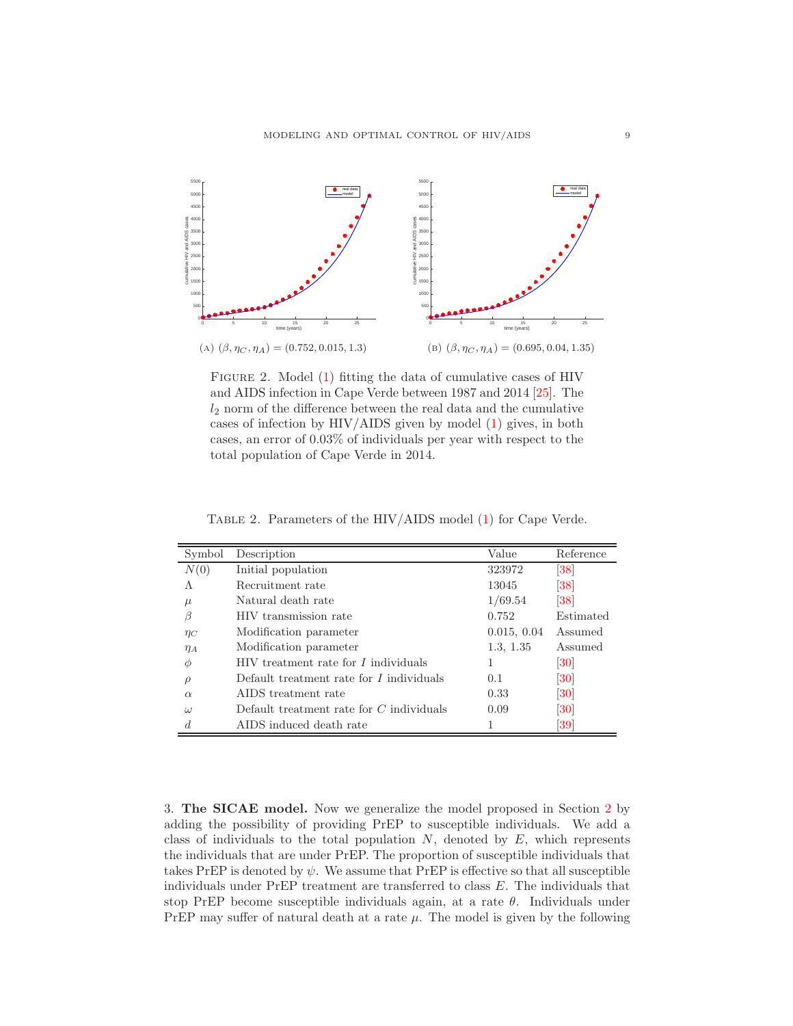<span id="page-8-0"></span>

Figure 2. Model [\(1\)](#page-3-2) fitting the data of cumulative cases of HIV and AIDS infection in Cape Verde between 1987 and 2014 [\[25\]](#page-21-6). The  $l_2$  norm of the difference between the real data and the cumulative cases of infection by HIV/AIDS given by model [\(1\)](#page-3-2) gives, in both cases, an error of 0.03% of individuals per year with respect to the total population of Cape Verde in 2014.

| Symbol   | Description                                | Value       | Reference                    |
|----------|--------------------------------------------|-------------|------------------------------|
| N(0)     | Initial population                         | 323972      | $\left 38\right $            |
| Λ        | Recruitment rate                           | 13045       | $\left\lvert 38\right\rvert$ |
| $\mu$    | Natural death rate                         | 1/69.54     | 38                           |
| ß        | HIV transmission rate                      | 0.752       | Estimated                    |
| $\eta_C$ | Modification parameter                     | 0.015, 0.04 | Assumed                      |
| $\eta_A$ | Modification parameter                     | 1.3, 1.35   | Assumed                      |
| Φ        | HIV treatment rate for I individuals       |             | 30                           |
| $\rho$   | Default treatment rate for $I$ individuals | 0.1         | $\left[ 30\right]$           |
| $\alpha$ | AIDS treatment rate                        | 0.33        | $\left[ 30\right]$           |
| $\omega$ | Default treatment rate for $C$ individuals | 0.09        | $\left[30\right]$            |
|          | AIDS induced death rate                    |             | $\left 39\right $            |

<span id="page-8-1"></span>Table 2. Parameters of the HIV/AIDS model [\(1\)](#page-3-2) for Cape Verde.

3. The SICAE model. Now we generalize the model proposed in Section [2](#page-3-0) by adding the possibility of providing PrEP to susceptible individuals. We add a class of individuals to the total population  $N$ , denoted by  $E$ , which represents the individuals that are under PrEP. The proportion of susceptible individuals that takes PrEP is denoted by  $\psi$ . We assume that PrEP is effective so that all susceptible individuals under PrEP treatment are transferred to class E. The individuals that stop PrEP become susceptible individuals again, at a rate  $\theta$ . Individuals under PrEP may suffer of natural death at a rate  $\mu$ . The model is given by the following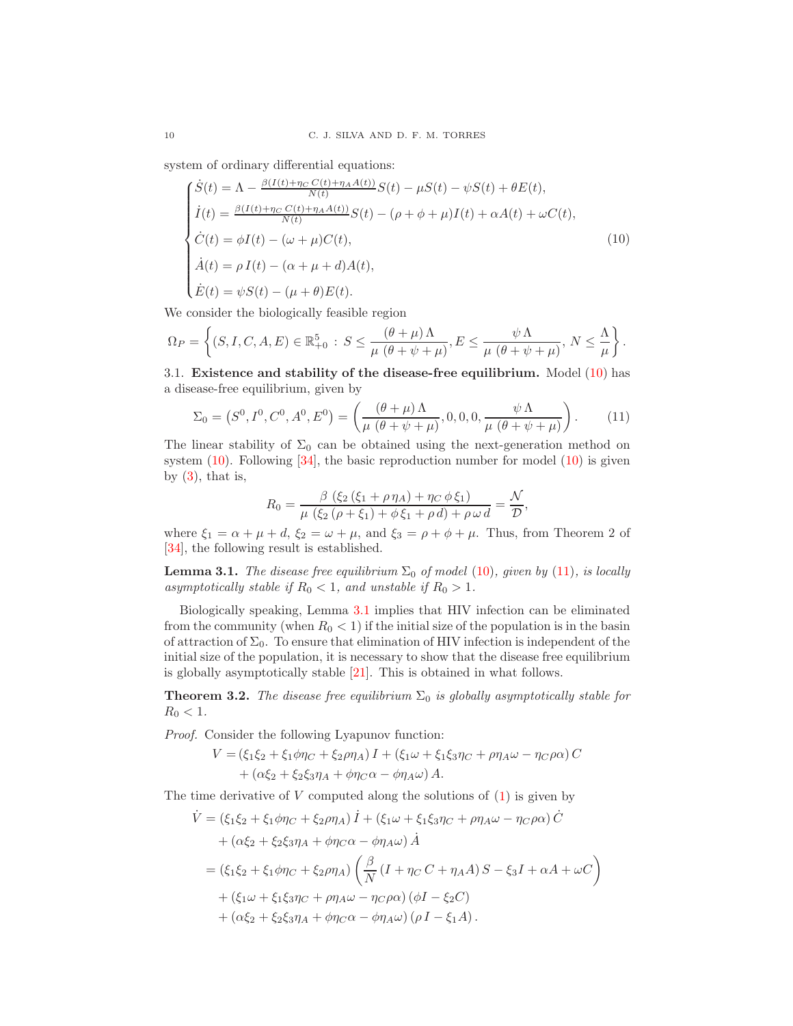system of ordinary differential equations:

<span id="page-9-0"></span>
$$
\begin{cases}\n\dot{S}(t) = \Lambda - \frac{\beta(I(t) + \eta_C C(t) + \eta_A A(t))}{N(t)} S(t) - \mu S(t) - \psi S(t) + \theta E(t), \\
\dot{I}(t) = \frac{\beta(I(t) + \eta_C C(t) + \eta_A A(t))}{N(t)} S(t) - (\rho + \phi + \mu) I(t) + \alpha A(t) + \omega C(t), \\
\dot{C}(t) = \phi I(t) - (\omega + \mu) C(t), \\
\dot{A}(t) = \rho I(t) - (\alpha + \mu + d) A(t), \\
\dot{E}(t) = \psi S(t) - (\mu + \theta) E(t).\n\end{cases}
$$
\n(10)

We consider the biologically feasible region

$$
\Omega_P = \left\{ (S, I, C, A, E) \in \mathbb{R}_{+0}^5 : S \leq \frac{(\theta + \mu)\Lambda}{\mu(\theta + \psi + \mu)}, E \leq \frac{\psi\Lambda}{\mu(\theta + \psi + \mu)}, N \leq \frac{\Lambda}{\mu} \right\}.
$$

3.1. Existence and stability of the disease-free equilibrium. Model [\(10\)](#page-9-0) has a disease-free equilibrium, given by

<span id="page-9-1"></span>
$$
\Sigma_0 = (S^0, I^0, C^0, A^0, E^0) = \left(\frac{(\theta + \mu)\Lambda}{\mu(\theta + \psi + \mu)}, 0, 0, 0, \frac{\psi\Lambda}{\mu(\theta + \psi + \mu)}\right). \tag{11}
$$

The linear stability of  $\Sigma_0$  can be obtained using the next-generation method on system  $(10)$ . Following  $[34]$ , the basic reproduction number for model  $(10)$  is given by  $(3)$ , that is,

$$
R_0 = \frac{\beta (\xi_2 (\xi_1 + \rho \eta_A) + \eta_C \phi \xi_1)}{\mu (\xi_2 (\rho + \xi_1) + \phi \xi_1 + \rho d) + \rho \omega d} = \frac{\mathcal{N}}{\mathcal{D}},
$$

where  $\xi_1 = \alpha + \mu + d$ ,  $\xi_2 = \omega + \mu$ , and  $\xi_3 = \rho + \phi + \mu$ . Thus, from Theorem 2 of [\[34\]](#page-22-12), the following result is established.

<span id="page-9-2"></span>**Lemma 3.1.** The disease free equilibrium  $\Sigma_0$  of model [\(10\)](#page-9-0), given by [\(11\)](#page-9-1), is locally asymptotically stable if  $R_0 < 1$ , and unstable if  $R_0 > 1$ .

Biologically speaking, Lemma [3.1](#page-9-2) implies that HIV infection can be eliminated from the community (when  $R_0 < 1$ ) if the initial size of the population is in the basin of attraction of  $\Sigma_0$ . To ensure that elimination of HIV infection is independent of the initial size of the population, it is necessary to show that the disease free equilibrium is globally asymptotically stable [\[21\]](#page-21-21). This is obtained in what follows.

<span id="page-9-3"></span>**Theorem 3.2.** The disease free equilibrium  $\Sigma_0$  is globally asymptotically stable for  $R_0 < 1.$ 

Proof. Consider the following Lyapunov function:

$$
V = (\xi_1 \xi_2 + \xi_1 \phi \eta_C + \xi_2 \rho \eta_A) I + (\xi_1 \omega + \xi_1 \xi_3 \eta_C + \rho \eta_A \omega - \eta_C \rho \alpha) C + (\alpha \xi_2 + \xi_2 \xi_3 \eta_A + \phi \eta_C \alpha - \phi \eta_A \omega) A.
$$

The time derivative of  $V$  computed along the solutions of  $(1)$  is given by

$$
\dot{V} = (\xi_1 \xi_2 + \xi_1 \phi \eta_C + \xi_2 \rho \eta_A) \dot{I} + (\xi_1 \omega + \xi_1 \xi_3 \eta_C + \rho \eta_A \omega - \eta_C \rho \alpha) \dot{C} \n+ (\alpha \xi_2 + \xi_2 \xi_3 \eta_A + \phi \eta_C \alpha - \phi \eta_A \omega) \dot{A} \n= (\xi_1 \xi_2 + \xi_1 \phi \eta_C + \xi_2 \rho \eta_A) \left( \frac{\beta}{N} (I + \eta_C C + \eta_A A) S - \xi_3 I + \alpha A + \omega C \right) \n+ (\xi_1 \omega + \xi_1 \xi_3 \eta_C + \rho \eta_A \omega - \eta_C \rho \alpha) (\phi I - \xi_2 C) \n+ (\alpha \xi_2 + \xi_2 \xi_3 \eta_A + \phi \eta_C \alpha - \phi \eta_A \omega) (\rho I - \xi_1 A).
$$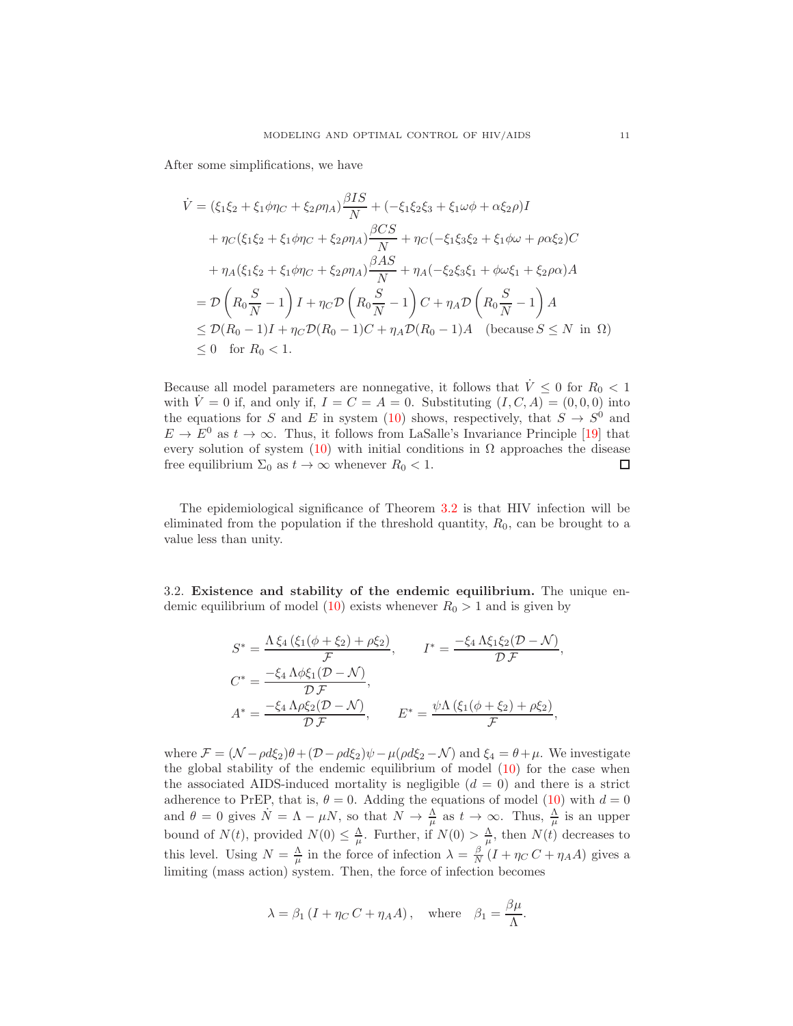After some simplifications, we have

$$
\dot{V} = (\xi_1 \xi_2 + \xi_1 \phi \eta_C + \xi_2 \rho \eta_A) \frac{\beta I S}{N} + (-\xi_1 \xi_2 \xi_3 + \xi_1 \omega \phi + \alpha \xi_2 \rho) I \n+ \eta_C (\xi_1 \xi_2 + \xi_1 \phi \eta_C + \xi_2 \rho \eta_A) \frac{\beta C S}{N} + \eta_C (-\xi_1 \xi_3 \xi_2 + \xi_1 \phi \omega + \rho \alpha \xi_2) C \n+ \eta_A (\xi_1 \xi_2 + \xi_1 \phi \eta_C + \xi_2 \rho \eta_A) \frac{\beta A S}{N} + \eta_A (-\xi_2 \xi_3 \xi_1 + \phi \omega \xi_1 + \xi_2 \rho \alpha) A \n= \mathcal{D} \left( R_0 \frac{S}{N} - 1 \right) I + \eta_C \mathcal{D} \left( R_0 \frac{S}{N} - 1 \right) C + \eta_A \mathcal{D} \left( R_0 \frac{S}{N} - 1 \right) A \n\le \mathcal{D} (R_0 - 1) I + \eta_C \mathcal{D} (R_0 - 1) C + \eta_A \mathcal{D} (R_0 - 1) A \quad \text{(because } S \le N \text{ in } \Omega) \n\le 0 \quad \text{for } R_0 < 1.
$$

Because all model parameters are nonnegative, it follows that  $\dot{V} \le 0$  for  $R_0 < 1$ with  $\dot{V} = 0$  if, and only if,  $I = C = A = 0$ . Substituting  $(I, C, A) = (0, 0, 0)$  into the equations for S and E in system [\(10\)](#page-9-0) shows, respectively, that  $S \to S^0$  and  $E \to E^0$  as  $t \to \infty$ . Thus, it follows from LaSalle's Invariance Principle [\[19\]](#page-21-20) that every solution of system [\(10\)](#page-9-0) with initial conditions in  $\Omega$  approaches the disease free equilibrium  $\Sigma_0$  as  $t \to \infty$  whenever  $R_0 < 1$ .  $\Box$ 

The epidemiological significance of Theorem [3.2](#page-9-3) is that HIV infection will be eliminated from the population if the threshold quantity,  $R_0$ , can be brought to a value less than unity.

3.2. Existence and stability of the endemic equilibrium. The unique en-demic equilibrium of model [\(10\)](#page-9-0) exists whenever  $R_0 > 1$  and is given by

$$
S^* = \frac{\Lambda \xi_4 (\xi_1(\phi + \xi_2) + \rho \xi_2)}{\mathcal{F}}, \qquad I^* = \frac{-\xi_4 \Lambda \xi_1 \xi_2 (\mathcal{D} - \mathcal{N})}{\mathcal{D} \mathcal{F}},
$$
  

$$
C^* = \frac{-\xi_4 \Lambda \phi \xi_1 (\mathcal{D} - \mathcal{N})}{\mathcal{D} \mathcal{F}},
$$
  

$$
A^* = \frac{-\xi_4 \Lambda \rho \xi_2 (\mathcal{D} - \mathcal{N})}{\mathcal{D} \mathcal{F}}, \qquad E^* = \frac{\psi \Lambda (\xi_1 (\phi + \xi_2) + \rho \xi_2)}{\mathcal{F}},
$$

where  $\mathcal{F} = (\mathcal{N} - \rho d\xi_2)\theta + (\mathcal{D} - \rho d\xi_2)\psi - \mu(\rho d\xi_2 - \mathcal{N})$  and  $\xi_4 = \theta + \mu$ . We investigate the global stability of the endemic equilibrium of model [\(10\)](#page-9-0) for the case when the associated AIDS-induced mortality is negligible  $(d = 0)$  and there is a strict adherence to PrEP, that is,  $\theta = 0$ . Adding the equations of model [\(10\)](#page-9-0) with  $d = 0$ and  $\theta = 0$  gives  $\dot{N} = \Lambda - \mu N$ , so that  $N \to \frac{\Lambda}{\mu}$  as  $t \to \infty$ . Thus,  $\frac{\Lambda}{\mu}$  is an upper bound of  $N(t)$ , provided  $N(0) \leq \frac{\Lambda}{\mu}$ . Further, if  $N(0) > \frac{\Lambda}{\mu}$ , then  $N(t)$  decreases to this level. Using  $N = \frac{\Lambda}{\mu}$  in the force of infection  $\lambda = \frac{\beta}{N} (I + \eta_C C + \eta_A A)$  gives a limiting (mass action) system. Then, the force of infection becomes

$$
\lambda = \beta_1 (I + \eta_C C + \eta_A A),
$$
 where  $\beta_1 = \frac{\beta \mu}{\Lambda}.$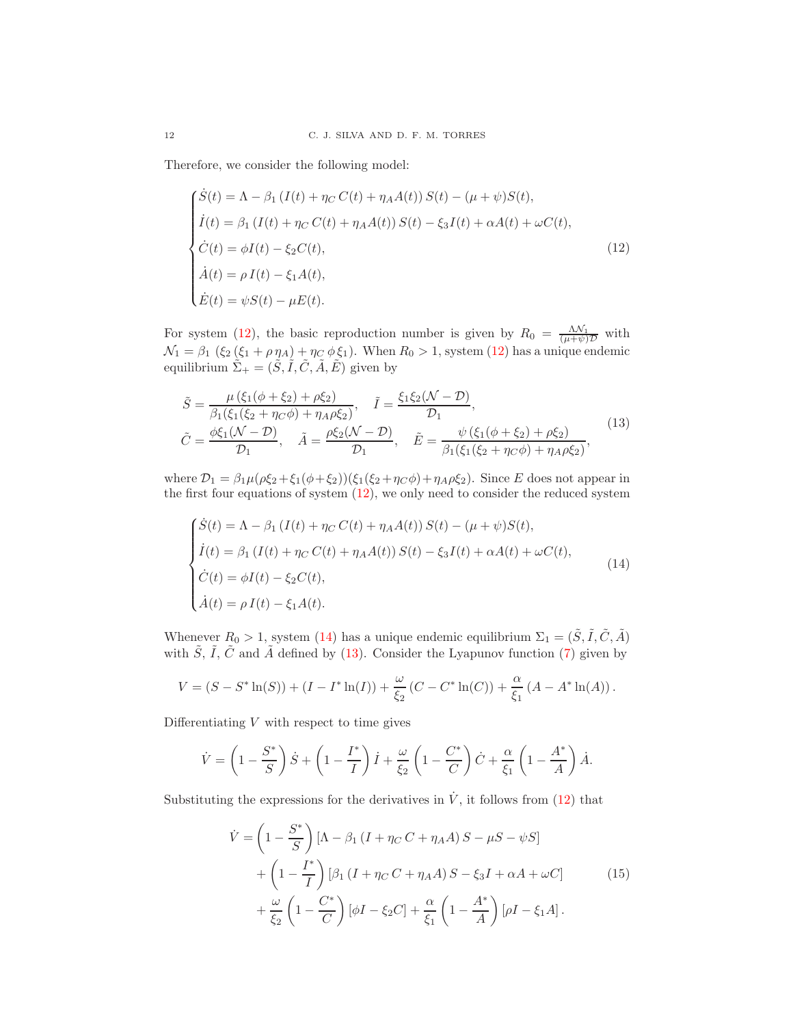Therefore, we consider the following model:

<span id="page-11-0"></span>
$$
\begin{cases}\n\dot{S}(t) = \Lambda - \beta_1 (I(t) + \eta_C C(t) + \eta_A A(t)) S(t) - (\mu + \psi) S(t), \\
\dot{I}(t) = \beta_1 (I(t) + \eta_C C(t) + \eta_A A(t)) S(t) - \xi_3 I(t) + \alpha A(t) + \omega C(t), \\
\dot{C}(t) = \phi I(t) - \xi_2 C(t), \\
\dot{A}(t) = \rho I(t) - \xi_1 A(t), \\
\dot{E}(t) = \psi S(t) - \mu E(t).\n\end{cases}
$$
\n(12)

For system [\(12\)](#page-11-0), the basic reproduction number is given by  $R_0 = \frac{\Lambda \mathcal{N}_1}{(\mu + \psi)\mathcal{D}}$  with  $\mathcal{N}_1 = \beta_1 \; (\xi_2 \, (\xi_1 + \rho \, \eta_A) + \eta_C \, \phi \, \xi_1).$  When  $R_0 > 1$ , system [\(12\)](#page-11-0) has a unique endemic equilibrium  $\tilde{\Sigma}_{+} = (\tilde{S}, \tilde{I}, \tilde{C}, \tilde{A}, \tilde{E})$  given by

<span id="page-11-2"></span>
$$
\tilde{S} = \frac{\mu(\xi_1(\phi + \xi_2) + \rho \xi_2)}{\beta_1(\xi_1(\xi_2 + \eta_C \phi) + \eta_A \rho \xi_2)}, \quad \tilde{I} = \frac{\xi_1 \xi_2 (\mathcal{N} - \mathcal{D})}{\mathcal{D}_1},
$$
\n
$$
\tilde{C} = \frac{\phi \xi_1 (\mathcal{N} - \mathcal{D})}{\mathcal{D}_1}, \quad \tilde{A} = \frac{\rho \xi_2 (\mathcal{N} - \mathcal{D})}{\mathcal{D}_1}, \quad \tilde{E} = \frac{\psi(\xi_1(\phi + \xi_2) + \rho \xi_2)}{\beta_1(\xi_1(\xi_2 + \eta_C \phi) + \eta_A \rho \xi_2)},
$$
\n(13)

where  $\mathcal{D}_1 = \beta_1 \mu (\rho \xi_2 + \xi_1 (\phi + \xi_2)) (\xi_1 (\xi_2 + \eta_C \phi) + \eta_A \rho \xi_2)$ . Since E does not appear in the first four equations of system  $(12)$ , we only need to consider the reduced system

<span id="page-11-1"></span>
$$
\begin{cases}\n\dot{S}(t) = \Lambda - \beta_1 (I(t) + \eta_C C(t) + \eta_A A(t)) S(t) - (\mu + \psi) S(t), \\
\dot{I}(t) = \beta_1 (I(t) + \eta_C C(t) + \eta_A A(t)) S(t) - \xi_3 I(t) + \alpha A(t) + \omega C(t), \\
\dot{C}(t) = \phi I(t) - \xi_2 C(t), \\
\dot{A}(t) = \rho I(t) - \xi_1 A(t).\n\end{cases}
$$
\n(14)

Whenever  $R_0 > 1$ , system [\(14\)](#page-11-1) has a unique endemic equilibrium  $\Sigma_1 = (\tilde{S}, \tilde{I}, \tilde{C}, \tilde{A})$ with  $\tilde{S}$ ,  $\tilde{I}$ ,  $\tilde{C}$  and  $\tilde{A}$  defined by [\(13\)](#page-11-2). Consider the Lyapunov function [\(7\)](#page-5-2) given by

$$
V = (S - S^* \ln(S)) + (I - I^* \ln(I)) + \frac{\omega}{\xi_2} (C - C^* \ln(C)) + \frac{\alpha}{\xi_1} (A - A^* \ln(A)).
$$

Differentiating  $V$  with respect to time gives

$$
\dot{V} = \left(1 - \frac{S^*}{S}\right)\dot{S} + \left(1 - \frac{I^*}{I}\right)\dot{I} + \frac{\omega}{\xi_2}\left(1 - \frac{C^*}{C}\right)\dot{C} + \frac{\alpha}{\xi_1}\left(1 - \frac{A^*}{A}\right)\dot{A}.
$$

<span id="page-11-3"></span>Substituting the expressions for the derivatives in  $\dot{V}$ , it follows from [\(12\)](#page-11-0) that

$$
\dot{V} = \left(1 - \frac{S^*}{S}\right) \left[\Lambda - \beta_1 \left(I + \eta_C C + \eta_A A\right)S - \mu S - \psi S\right] \n+ \left(1 - \frac{I^*}{I}\right) \left[\beta_1 \left(I + \eta_C C + \eta_A A\right)S - \xi_3 I + \alpha A + \omega C\right] \n+ \frac{\omega}{\xi_2} \left(1 - \frac{C^*}{C}\right) \left[\phi I - \xi_2 C\right] + \frac{\alpha}{\xi_1} \left(1 - \frac{A^*}{A}\right) \left[\rho I - \xi_1 A\right].
$$
\n(15)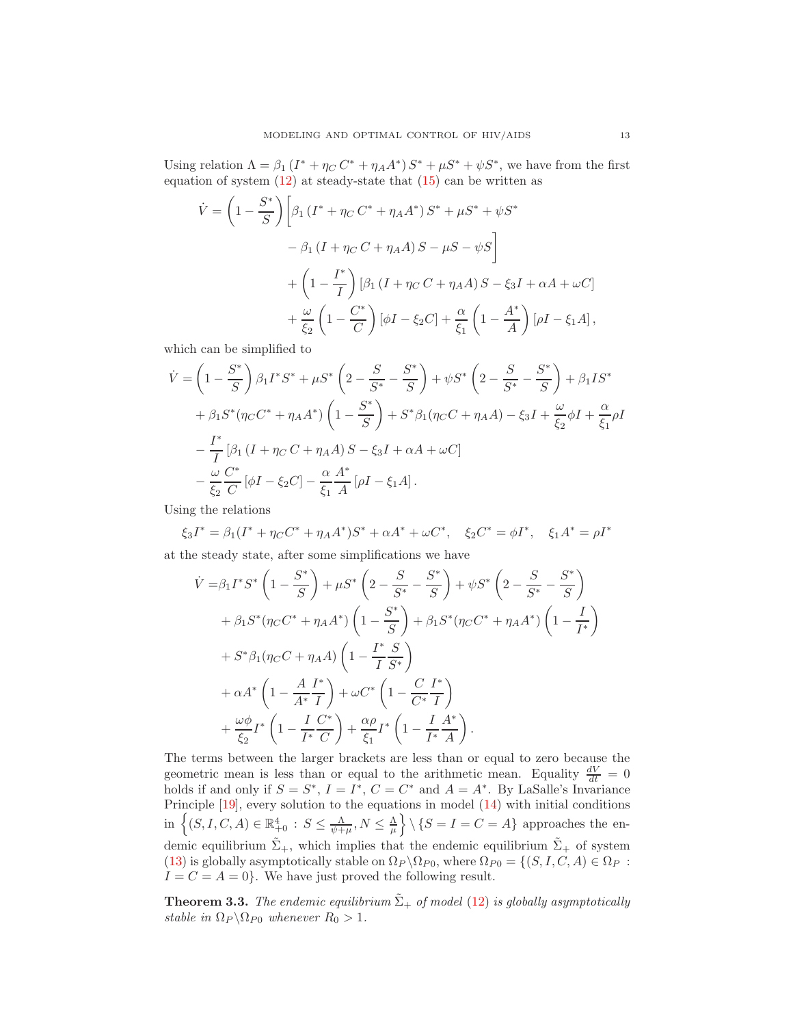Using relation  $\Lambda = \beta_1 (I^* + \eta_C C^* + \eta_A A^*) S^* + \mu S^* + \psi S^*$ , we have from the first equation of system  $(12)$  at steady-state that  $(15)$  can be written as

$$
\dot{V} = \left(1 - \frac{S^*}{S}\right) \left[\beta_1 \left(I^* + \eta_C C^* + \eta_A A^*\right) S^* + \mu S^* + \psi S^* \right]
$$

$$
- \beta_1 \left(I + \eta_C C + \eta_A A\right) S - \mu S - \psi S\right]
$$

$$
+ \left(1 - \frac{I^*}{I}\right) \left[\beta_1 \left(I + \eta_C C + \eta_A A\right) S - \xi_3 I + \alpha A + \omega C\right]
$$

$$
+ \frac{\omega}{\xi_2} \left(1 - \frac{C^*}{C}\right) \left[\phi I - \xi_2 C\right] + \frac{\alpha}{\xi_1} \left(1 - \frac{A^*}{A}\right) \left[\rho I - \xi_1 A\right],
$$

which can be simplified to

$$
\dot{V} = \left(1 - \frac{S^*}{S}\right)\beta_1 I^* S^* + \mu S^* \left(2 - \frac{S}{S^*} - \frac{S^*}{S}\right) + \psi S^* \left(2 - \frac{S}{S^*} - \frac{S^*}{S}\right) + \beta_1 I S^* \n+ \beta_1 S^* (\eta_C C^* + \eta_A A^*) \left(1 - \frac{S^*}{S}\right) + S^* \beta_1 (\eta_C C + \eta_A A) - \xi_3 I + \frac{\omega}{\xi_2} \phi I + \frac{\alpha}{\xi_1} \rho I \n- \frac{I^*}{I} [\beta_1 (I + \eta_C C + \eta_A A) S - \xi_3 I + \alpha A + \omega C] \n- \frac{\omega}{\xi_2} \frac{C^*}{C} [\phi I - \xi_2 C] - \frac{\alpha}{\xi_1} \frac{A^*}{A} [\rho I - \xi_1 A].
$$

Using the relations

$$
\xi_3 I^* = \beta_1 (I^* + \eta_C C^* + \eta_A A^*) S^* + \alpha A^* + \omega C^*, \quad \xi_2 C^* = \phi I^*, \quad \xi_1 A^* = \rho I^*
$$

at the steady state, after some simplifications we have

$$
\dot{V} = \beta_1 I^* S^* \left( 1 - \frac{S^*}{S} \right) + \mu S^* \left( 2 - \frac{S}{S^*} - \frac{S^*}{S} \right) + \psi S^* \left( 2 - \frac{S}{S^*} - \frac{S^*}{S} \right) \n+ \beta_1 S^* (\eta_C C^* + \eta_A A^*) \left( 1 - \frac{S^*}{S} \right) + \beta_1 S^* (\eta_C C^* + \eta_A A^*) \left( 1 - \frac{I}{I^*} \right) \n+ S^* \beta_1 (\eta_C C + \eta_A A) \left( 1 - \frac{I^*}{I} \frac{S}{S^*} \right) \n+ \alpha A^* \left( 1 - \frac{A}{A^*} \frac{I^*}{I} \right) + \omega C^* \left( 1 - \frac{C}{C^*} \frac{I^*}{I} \right) \n+ \frac{\omega \phi}{\xi_2} I^* \left( 1 - \frac{I}{I^*} \frac{C^*}{C} \right) + \frac{\alpha \rho}{\xi_1} I^* \left( 1 - \frac{I}{I^*} \frac{A^*}{A} \right).
$$

The terms between the larger brackets are less than or equal to zero because the geometric mean is less than or equal to the arithmetic mean. Equality  $\frac{dV}{dt} = 0$ holds if and only if  $S = S^*$ ,  $I = I^*$ ,  $C = C^*$  and  $A = A^*$ . By LaSalle's Invariance Principle [\[19\]](#page-21-20), every solution to the equations in model [\(14\)](#page-11-1) with initial conditions in  $\left\{(S, I, C, A) \in \mathbb{R}_{+0}^4 : S \leq \frac{\Lambda}{\psi + \mu}, N \leq \frac{\Lambda}{\mu} \right\} \setminus \left\{S = I = C = A\right\}$  approaches the endemic equilibrium  $\tilde{\Sigma}_{+}$ , which implies that the endemic equilibrium  $\tilde{\Sigma}_{+}$  of system [\(13\)](#page-11-2) is globally asymptotically stable on  $\Omega_P \backslash \Omega_{P0}$ , where  $\Omega_{P0} = \{(S, I, C, A) \in \Omega_P :$  $I = C = A = 0$ . We have just proved the following result.

<span id="page-12-0"></span>**Theorem 3.3.** The endemic equilibrium  $\tilde{\Sigma}_{+}$  of model [\(12\)](#page-11-0) is globally asymptotically stable in  $\Omega_P \backslash \Omega_{P0}$  whenever  $R_0 > 1$ .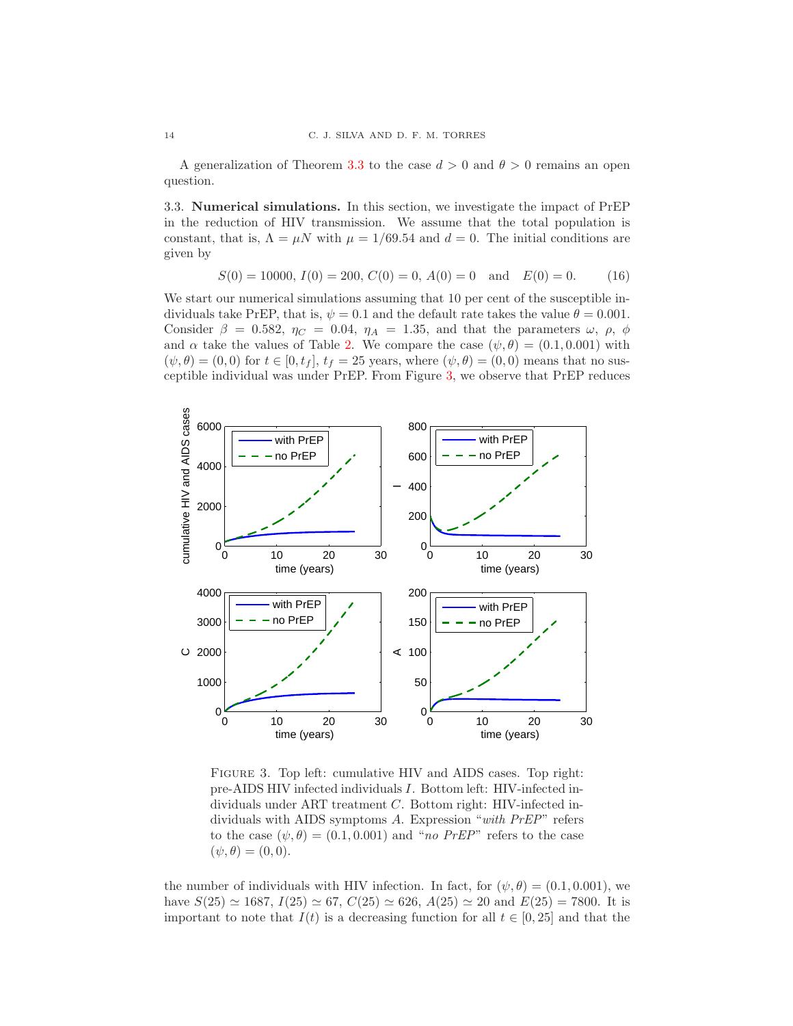A generalization of Theorem [3.3](#page-12-0) to the case  $d > 0$  and  $\theta > 0$  remains an open question.

3.3. Numerical simulations. In this section, we investigate the impact of PrEP in the reduction of HIV transmission. We assume that the total population is constant, that is,  $\Lambda = \mu N$  with  $\mu = 1/69.54$  and  $d = 0$ . The initial conditions are given by

<span id="page-13-1"></span>
$$
S(0) = 10000, I(0) = 200, C(0) = 0, A(0) = 0 \text{ and } E(0) = 0.
$$
 (16)

We start our numerical simulations assuming that 10 per cent of the susceptible individuals take PrEP, that is,  $\psi = 0.1$  and the default rate takes the value  $\theta = 0.001$ . Consider  $\beta = 0.582$ ,  $\eta_C = 0.04$ ,  $\eta_A = 1.35$ , and that the parameters  $\omega$ ,  $\rho$ ,  $\phi$ and  $\alpha$  take the values of Table [2.](#page-8-1) We compare the case  $(\psi, \theta) = (0.1, 0.001)$  with  $(\psi, \theta) = (0, 0)$  for  $t \in [0, t_f], t_f = 25$  years, where  $(\psi, \theta) = (0, 0)$  means that no susceptible individual was under PrEP. From Figure [3,](#page-13-0) we observe that PrEP reduces

<span id="page-13-0"></span>

FIGURE 3. Top left: cumulative HIV and AIDS cases. Top right: pre-AIDS HIV infected individuals I. Bottom left: HIV-infected individuals under ART treatment C. Bottom right: HIV-infected individuals with AIDS symptoms A. Expression "with PrEP" refers to the case  $(\psi, \theta) = (0.1, 0.001)$  and "no PrEP" refers to the case  $(\psi, \theta) = (0, 0).$ 

the number of individuals with HIV infection. In fact, for  $(\psi, \theta) = (0.1, 0.001)$ , we have  $S(25) \simeq 1687$ ,  $I(25) \simeq 67$ ,  $C(25) \simeq 626$ ,  $A(25) \simeq 20$  and  $E(25) = 7800$ . It is important to note that  $I(t)$  is a decreasing function for all  $t \in [0, 25]$  and that the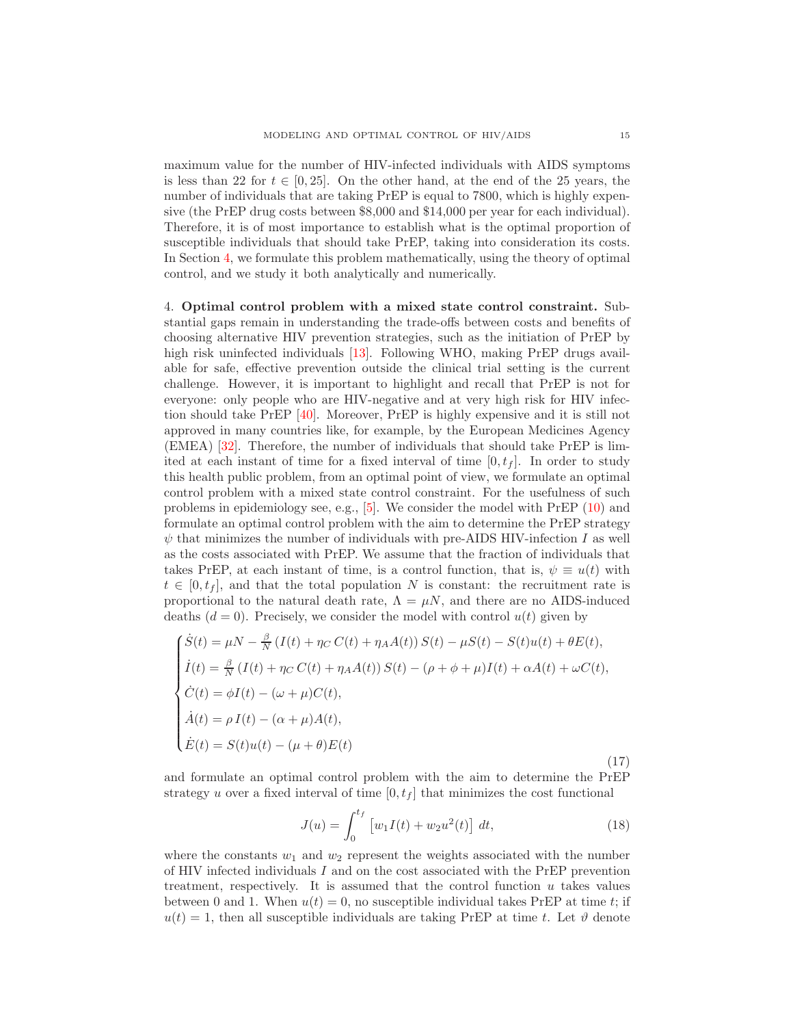maximum value for the number of HIV-infected individuals with AIDS symptoms is less than 22 for  $t \in [0, 25]$ . On the other hand, at the end of the 25 years, the number of individuals that are taking PrEP is equal to 7800, which is highly expensive (the PrEP drug costs between \$8,000 and \$14,000 per year for each individual). Therefore, it is of most importance to establish what is the optimal proportion of susceptible individuals that should take PrEP, taking into consideration its costs. In Section [4,](#page-14-0) we formulate this problem mathematically, using the theory of optimal control, and we study it both analytically and numerically.

<span id="page-14-0"></span>4. Optimal control problem with a mixed state control constraint. Substantial gaps remain in understanding the trade-offs between costs and benefits of choosing alternative HIV prevention strategies, such as the initiation of PrEP by high risk uninfected individuals [\[13\]](#page-21-2). Following WHO, making PrEP drugs available for safe, effective prevention outside the clinical trial setting is the current challenge. However, it is important to highlight and recall that PrEP is not for everyone: only people who are HIV-negative and at very high risk for HIV infection should take PrEP [\[40\]](#page-22-6). Moreover, PrEP is highly expensive and it is still not approved in many countries like, for example, by the European Medicines Agency (EMEA) [\[32\]](#page-22-7). Therefore, the number of individuals that should take PrEP is limited at each instant of time for a fixed interval of time  $[0, t<sub>f</sub>]$ . In order to study this health public problem, from an optimal point of view, we formulate an optimal control problem with a mixed state control constraint. For the usefulness of such problems in epidemiology see, e.g., [\[5\]](#page-21-22). We consider the model with PrEP [\(10\)](#page-9-0) and formulate an optimal control problem with the aim to determine the PrEP strategy  $\psi$  that minimizes the number of individuals with pre-AIDS HIV-infection I as well as the costs associated with PrEP. We assume that the fraction of individuals that takes PrEP, at each instant of time, is a control function, that is,  $\psi \equiv u(t)$  with  $t \in [0, t<sub>f</sub>]$ , and that the total population N is constant: the recruitment rate is proportional to the natural death rate,  $\Lambda = \mu N$ , and there are no AIDS-induced deaths  $(d = 0)$ . Precisely, we consider the model with control  $u(t)$  given by

<span id="page-14-1"></span>
$$
\begin{cases}\n\dot{S}(t) = \mu N - \frac{\beta}{N} \left( I(t) + \eta_C C(t) + \eta_A A(t) \right) S(t) - \mu S(t) - S(t) u(t) + \theta E(t), \\
\dot{I}(t) = \frac{\beta}{N} \left( I(t) + \eta_C C(t) + \eta_A A(t) \right) S(t) - (\rho + \phi + \mu) I(t) + \alpha A(t) + \omega C(t), \\
\dot{C}(t) = \phi I(t) - (\omega + \mu) C(t), \\
\dot{A}(t) = \rho I(t) - (\alpha + \mu) A(t), \\
\dot{E}(t) = S(t) u(t) - (\mu + \theta) E(t)\n\end{cases}
$$
\n(17)

and formulate an optimal control problem with the aim to determine the PrEP strategy u over a fixed interval of time  $[0, t_f]$  that minimizes the cost functional

<span id="page-14-2"></span>
$$
J(u) = \int_0^{t_f} \left[ w_1 I(t) + w_2 u^2(t) \right] dt,
$$
\n(18)

where the constants  $w_1$  and  $w_2$  represent the weights associated with the number of HIV infected individuals I and on the cost associated with the PrEP prevention treatment, respectively. It is assumed that the control function  $u$  takes values between 0 and 1. When  $u(t) = 0$ , no susceptible individual takes PrEP at time t; if  $u(t) = 1$ , then all susceptible individuals are taking PrEP at time t. Let  $\vartheta$  denote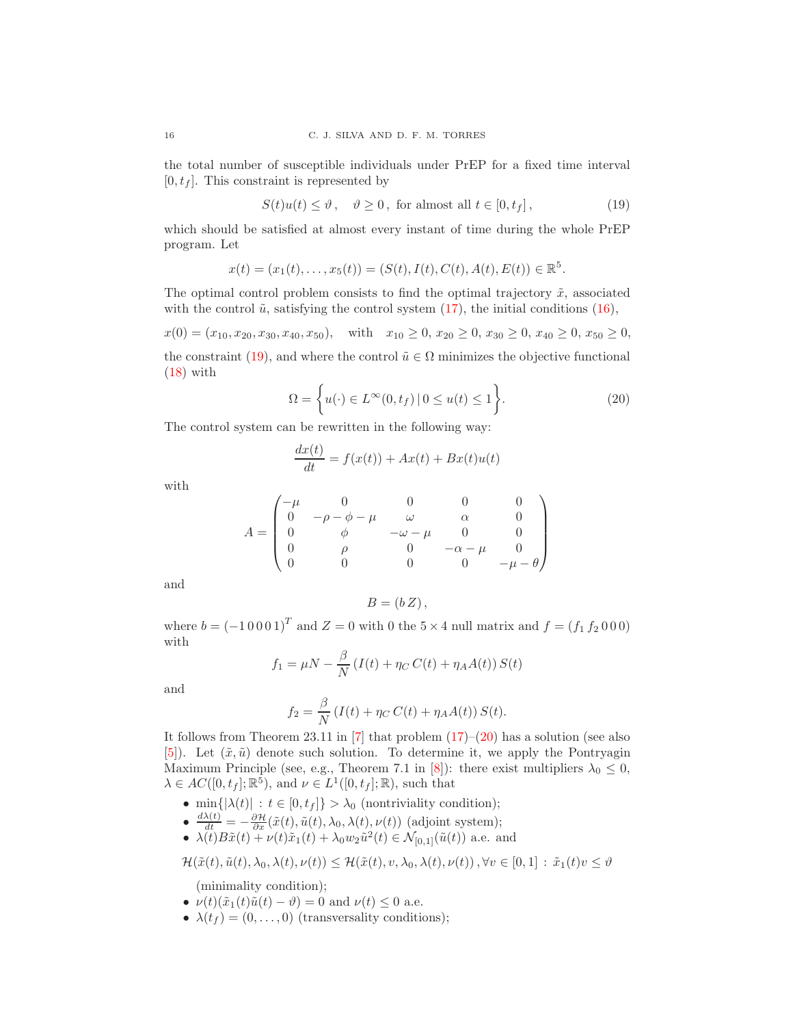the total number of susceptible individuals under PrEP for a fixed time interval  $[0, t<sub>f</sub>]$ . This constraint is represented by

<span id="page-15-0"></span>
$$
S(t)u(t) \le \vartheta, \quad \vartheta \ge 0, \text{ for almost all } t \in [0, t_f], \tag{19}
$$

which should be satisfied at almost every instant of time during the whole PrEP program. Let

$$
x(t) = (x_1(t), \dots, x_5(t)) = (S(t), I(t), C(t), A(t), E(t)) \in \mathbb{R}^5.
$$

The optimal control problem consists to find the optimal trajectory  $\tilde{x}$ , associated with the control  $\tilde{u}$ , satisfying the control system [\(17\)](#page-14-1), the initial conditions [\(16\)](#page-13-1),

 $x(0) = (x_{10}, x_{20}, x_{30}, x_{40}, x_{50}),$  with  $x_{10} \ge 0, x_{20} \ge 0, x_{30} \ge 0, x_{40} \ge 0, x_{50} \ge 0,$ the constraint [\(19\)](#page-15-0), and where the control  $\tilde{u} \in \Omega$  minimizes the objective functional  $(18)$  with

<span id="page-15-1"></span>
$$
\Omega = \left\{ u(\cdot) \in L^{\infty}(0, t_f) \, | \, 0 \le u(t) \le 1 \right\}.
$$
\n
$$
(20)
$$

The control system can be rewritten in the following way:

$$
\frac{dx(t)}{dt} = f(x(t)) + Ax(t) + Bx(t)u(t)
$$

with

$$
A = \begin{pmatrix} -\mu & 0 & 0 & 0 & 0 \\ 0 & -\rho - \phi - \mu & \omega & \alpha & 0 \\ 0 & \phi & -\omega - \mu & 0 & 0 \\ 0 & \rho & 0 & -\alpha - \mu & 0 \\ 0 & 0 & 0 & 0 & -\mu - \theta \end{pmatrix}
$$

and

$$
B = (b Z),
$$

where  $b = (-10001)^{T}$  and  $Z = 0$  with 0 the  $5 \times 4$  null matrix and  $f = (f_1 f_2 000)$ with

$$
f_1 = \mu N - \frac{\beta}{N} \left( I(t) + \eta_C C(t) + \eta_A A(t) \right) S(t)
$$

and

$$
f_2 = \frac{\beta}{N} \left( I(t) + \eta_C C(t) + \eta_A A(t) \right) S(t).
$$

It follows from Theorem 23.11 in [\[7\]](#page-21-23) that problem [\(17\)](#page-14-1)–[\(20\)](#page-15-1) has a solution (see also [\[5\]](#page-21-22)). Let  $(\tilde{x}, \tilde{u})$  denote such solution. To determine it, we apply the Pontryagin Maximum Principle (see, e.g., Theorem 7.1 in [\[8\]](#page-21-24)): there exist multipliers  $\lambda_0 \leq 0$ ,  $\lambda \in AC([0, t_f]; \mathbb{R}^5)$ , and  $\nu \in L^1([0, t_f]; \mathbb{R})$ , such that

- min $\{|\lambda(t)| : t \in [0, t_f]\} > \lambda_0$  (nontriviality condition);
- $\frac{d\lambda(t)}{dt} = -\frac{\partial \mathcal{H}}{\partial x}(\tilde{x}(t), \tilde{u}(t), \lambda_0, \lambda(t), \nu(t))$  (adjoint system);
- $\lambda(t)B\tilde{x}(t) + \nu(t)\tilde{x}_1(t) + \lambda_0 w_2 \tilde{u}^2(t) \in \mathcal{N}_{[0,1]}(\tilde{u}(t))$  a.e. and

$$
\mathcal{H}(\tilde{x}(t),\tilde{u}(t),\lambda_0,\lambda(t),\nu(t)) \leq \mathcal{H}(\tilde{x}(t),v,\lambda_0,\lambda(t),\nu(t)), \forall v \in [0,1] : \tilde{x}_1(t)v \leq \vartheta
$$

(minimality condition);

- $\nu(t)(\tilde{x}_1(t)\tilde{u}(t)-\vartheta)=0$  and  $\nu(t)\leq 0$  a.e.
- $\lambda(t_f) = (0, \ldots, 0)$  (transversality conditions);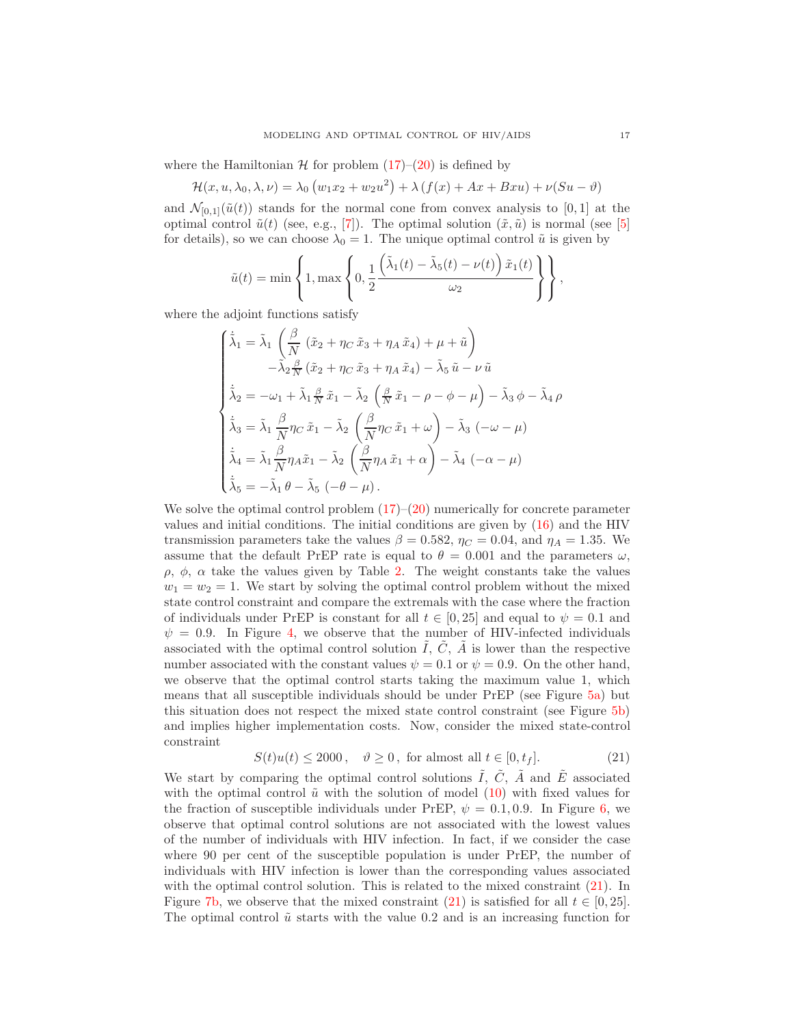where the Hamiltonian  $H$  for problem  $(17)–(20)$  $(17)–(20)$  is defined by

$$
\mathcal{H}(x, u, \lambda_0, \lambda, \nu) = \lambda_0 \left( w_1 x_2 + w_2 u^2 \right) + \lambda \left( f(x) + Ax + Bxu \right) + \nu(Su - \vartheta)
$$

and  $\mathcal{N}_{[0,1]}(\tilde{u}(t))$  stands for the normal cone from convex analysis to [0, 1] at the optimal control  $\tilde{u}(t)$  (see, e.g., [\[7\]](#page-21-23)). The optimal solution  $(\tilde{x}, \tilde{u})$  is normal (see [\[5\]](#page-21-22) for details), so we can choose  $\lambda_0 = 1$ . The unique optimal control  $\tilde{u}$  is given by

$$
\tilde{u}(t) = \min\left\{1, \max\left\{0, \frac{1}{2} \frac{\left(\tilde{\lambda}_1(t) - \tilde{\lambda}_5(t) - \nu(t)\right)\tilde{x}_1(t)}{\omega_2}\right\}\right\},\
$$

where the adjoint functions satisfy

$$
\begin{cases}\n\dot{\tilde{\lambda}}_1 = \tilde{\lambda}_1 \left( \frac{\beta}{N} \left( \tilde{x}_2 + \eta_C \tilde{x}_3 + \eta_A \tilde{x}_4 \right) + \mu + \tilde{u} \right) \\
-\tilde{\lambda}_2 \frac{\beta}{N} \left( \tilde{x}_2 + \eta_C \tilde{x}_3 + \eta_A \tilde{x}_4 \right) - \tilde{\lambda}_5 \tilde{u} - \nu \tilde{u} \\
\dot{\tilde{\lambda}}_2 = -\omega_1 + \tilde{\lambda}_1 \frac{\beta}{N} \tilde{x}_1 - \tilde{\lambda}_2 \left( \frac{\beta}{N} \tilde{x}_1 - \rho - \phi - \mu \right) - \tilde{\lambda}_3 \phi - \tilde{\lambda}_4 \rho \\
\dot{\tilde{\lambda}}_3 = \tilde{\lambda}_1 \frac{\beta}{N} \eta_C \tilde{x}_1 - \tilde{\lambda}_2 \left( \frac{\beta}{N} \eta_C \tilde{x}_1 + \omega \right) - \tilde{\lambda}_3 \left( -\omega - \mu \right) \\
\dot{\tilde{\lambda}}_4 = \tilde{\lambda}_1 \frac{\beta}{N} \eta_A \tilde{x}_1 - \tilde{\lambda}_2 \left( \frac{\beta}{N} \eta_A \tilde{x}_1 + \alpha \right) - \tilde{\lambda}_4 \left( -\alpha - \mu \right) \\
\dot{\tilde{\lambda}}_5 = -\tilde{\lambda}_1 \theta - \tilde{\lambda}_5 \left( -\theta - \mu \right). \n\end{cases}
$$

We solve the optimal control problem  $(17)$ – $(20)$  numerically for concrete parameter values and initial conditions. The initial conditions are given by [\(16\)](#page-13-1) and the HIV transmission parameters take the values  $\beta = 0.582$ ,  $\eta_C = 0.04$ , and  $\eta_A = 1.35$ . We assume that the default PrEP rate is equal to  $\theta = 0.001$  and the parameters  $\omega$ , ρ, φ, α take the values given by Table [2.](#page-8-1) The weight constants take the values  $w_1 = w_2 = 1$ . We start by solving the optimal control problem without the mixed state control constraint and compare the extremals with the case where the fraction of individuals under PrEP is constant for all  $t \in [0, 25]$  and equal to  $\psi = 0.1$  and  $\psi = 0.9$ . In Figure [4,](#page-17-0) we observe that the number of HIV-infected individuals associated with the optimal control solution  $\tilde{I}$ ,  $\tilde{C}$ ,  $\tilde{A}$  is lower than the respective number associated with the constant values  $\psi = 0.1$  or  $\psi = 0.9$ . On the other hand, we observe that the optimal control starts taking the maximum value 1, which means that all susceptible individuals should be under PrEP (see Figure [5a\)](#page-17-1) but this situation does not respect the mixed state control constraint (see Figure [5b\)](#page-17-2) and implies higher implementation costs. Now, consider the mixed state-control constraint

<span id="page-16-0"></span>
$$
S(t)u(t) \le 2000, \quad \vartheta \ge 0, \text{ for almost all } t \in [0, t_f]. \tag{21}
$$

We start by comparing the optimal control solutions  $\tilde{I}$ ,  $\tilde{C}$ ,  $\tilde{A}$  and  $\tilde{E}$  associated with the optimal control  $\tilde{u}$  with the solution of model [\(10\)](#page-9-0) with fixed values for the fraction of susceptible individuals under PrEP,  $\psi = 0.1, 0.9$ . In Figure [6,](#page-18-0) we observe that optimal control solutions are not associated with the lowest values of the number of individuals with HIV infection. In fact, if we consider the case where 90 per cent of the susceptible population is under PrEP, the number of individuals with HIV infection is lower than the corresponding values associated with the optimal control solution. This is related to the mixed constraint  $(21)$ . In Figure [7b,](#page-19-1) we observe that the mixed constraint [\(21\)](#page-16-0) is satisfied for all  $t \in [0, 25]$ . The optimal control  $\tilde{u}$  starts with the value 0.2 and is an increasing function for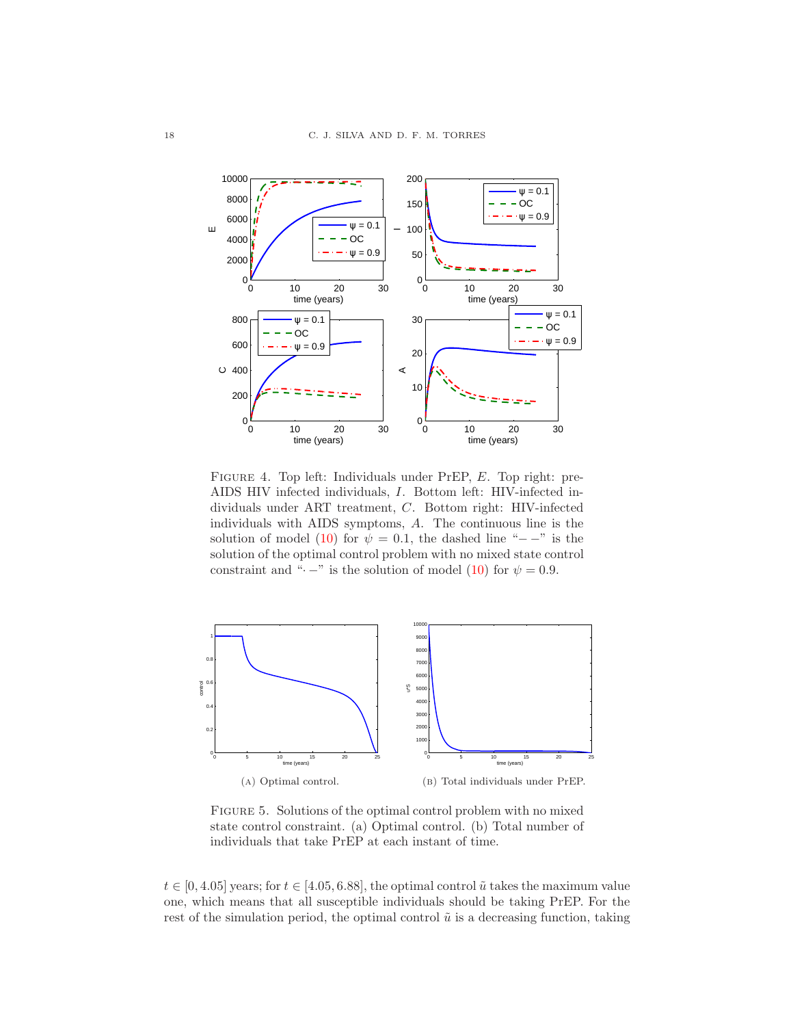<span id="page-17-0"></span>

Figure 4. Top left: Individuals under PrEP, E. Top right: pre-AIDS HIV infected individuals, I. Bottom left: HIV-infected individuals under ART treatment, C. Bottom right: HIV-infected individuals with AIDS symptoms, A. The continuous line is the solution of model [\(10\)](#page-9-0) for  $\psi = 0.1$ , the dashed line "−−" is the solution of the optimal control problem with no mixed state control constraint and " $\cdot$  –" is the solution of model [\(10\)](#page-9-0) for  $\psi = 0.9$ .

<span id="page-17-1"></span>

<span id="page-17-2"></span>Figure 5. Solutions of the optimal control problem with no mixed state control constraint. (a) Optimal control. (b) Total number of individuals that take PrEP at each instant of time.

 $t \in [0, 4.05]$  years; for  $t \in [4.05, 6.88]$ , the optimal control  $\tilde{u}$  takes the maximum value one, which means that all susceptible individuals should be taking PrEP. For the rest of the simulation period, the optimal control  $\tilde{u}$  is a decreasing function, taking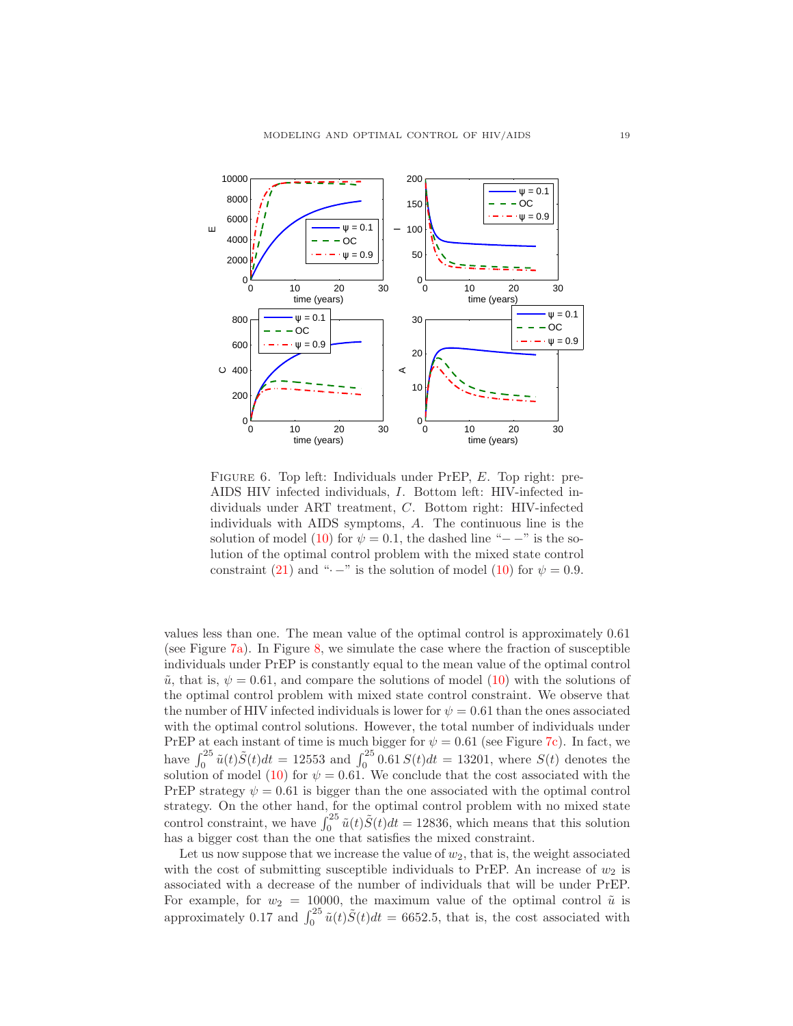<span id="page-18-0"></span>

FIGURE 6. Top left: Individuals under PrEP, E. Top right: pre-AIDS HIV infected individuals, I. Bottom left: HIV-infected individuals under ART treatment, C. Bottom right: HIV-infected individuals with AIDS symptoms, A. The continuous line is the solution of model [\(10\)](#page-9-0) for  $\psi = 0.1$ , the dashed line "−−" is the solution of the optimal control problem with the mixed state control constraint [\(21\)](#page-16-0) and " $\cdot$  –" is the solution of model [\(10\)](#page-9-0) for  $\psi = 0.9$ .

values less than one. The mean value of the optimal control is approximately 0.61 (see Figure [7a\)](#page-19-2). In Figure [8,](#page-19-3) we simulate the case where the fraction of susceptible individuals under PrEP is constantly equal to the mean value of the optimal control  $\tilde{u}$ , that is,  $\psi = 0.61$ , and compare the solutions of model [\(10\)](#page-9-0) with the solutions of the optimal control problem with mixed state control constraint. We observe that the number of HIV infected individuals is lower for  $\psi = 0.61$  than the ones associated with the optimal control solutions. However, the total number of individuals under PrEP at each instant of time is much bigger for  $\psi = 0.61$  (see Figure [7c\)](#page-19-4). In fact, we have  $\int_0^{25} \tilde{u}(t) \tilde{S}(t) dt = 12553$  and  $\int_0^{25} 0.61 S(t) dt = 13201$ , where  $S(t)$  denotes the solution of model [\(10\)](#page-9-0) for  $\psi = 0.61$ . We conclude that the cost associated with the PrEP strategy  $\psi = 0.61$  is bigger than the one associated with the optimal control strategy. On the other hand, for the optimal control problem with no mixed state control constraint, we have  $\int_0^{25} \tilde{u}(t) \tilde{S}(t) dt = 12836$ , which means that this solution has a bigger cost than the one that satisfies the mixed constraint.

Let us now suppose that we increase the value of  $w_2$ , that is, the weight associated with the cost of submitting susceptible individuals to PrEP. An increase of  $w_2$  is associated with a decrease of the number of individuals that will be under PrEP. For example, for  $w_2 = 10000$ , the maximum value of the optimal control  $\tilde{u}$  is approximately 0.17 and  $\int_0^{25} \tilde{u}(t) \tilde{S}(t) dt = 6652.5$ , that is, the cost associated with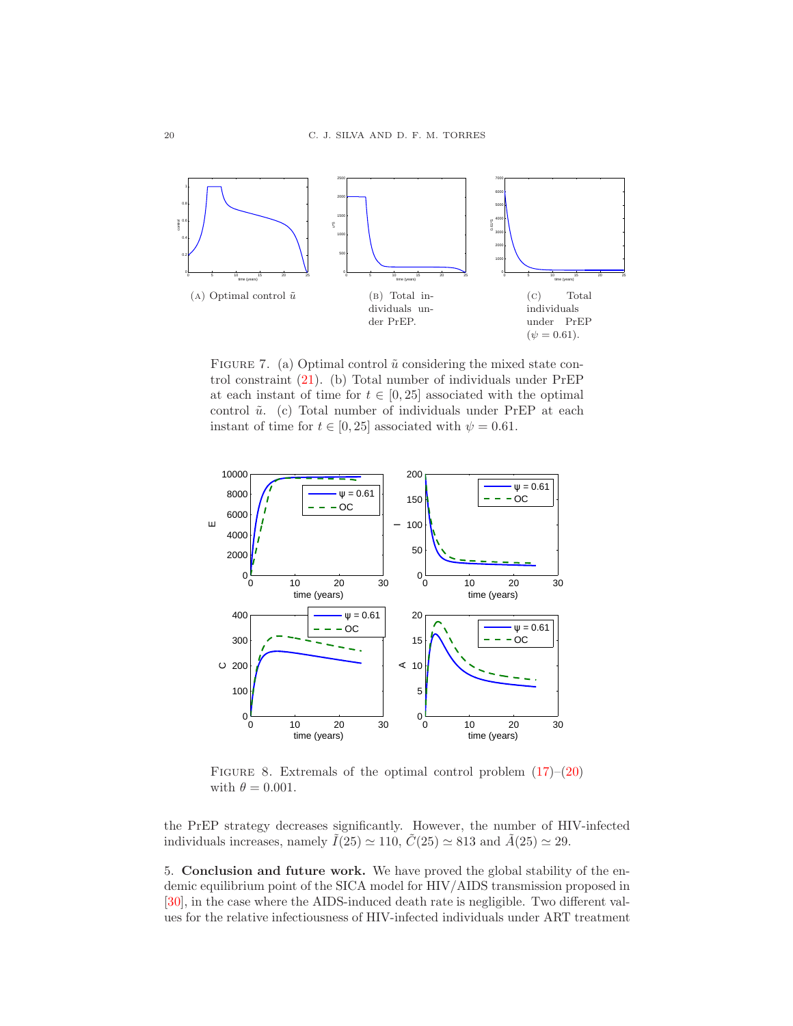<span id="page-19-2"></span>

<span id="page-19-4"></span><span id="page-19-1"></span>FIGURE 7. (a) Optimal control  $\tilde{u}$  considering the mixed state control constraint [\(21\)](#page-16-0). (b) Total number of individuals under PrEP at each instant of time for  $t \in [0, 25]$  associated with the optimal control  $\tilde{u}$ . (c) Total number of individuals under PrEP at each instant of time for  $t \in [0, 25]$  associated with  $\psi = 0.61$ .

<span id="page-19-3"></span>

FIGURE 8. Extremals of the optimal control problem  $(17)–(20)$  $(17)–(20)$ with  $\theta = 0.001$ .

the PrEP strategy decreases significantly. However, the number of HIV-infected individuals increases, namely  $\tilde{I}(25) \simeq 110$ ,  $\tilde{C}(25) \simeq 813$  and  $\tilde{A}(25) \simeq 29$ .

<span id="page-19-0"></span>5. Conclusion and future work. We have proved the global stability of the endemic equilibrium point of the SICA model for HIV/AIDS transmission proposed in [\[30\]](#page-22-4), in the case where the AIDS-induced death rate is negligible. Two different values for the relative infectiousness of HIV-infected individuals under ART treatment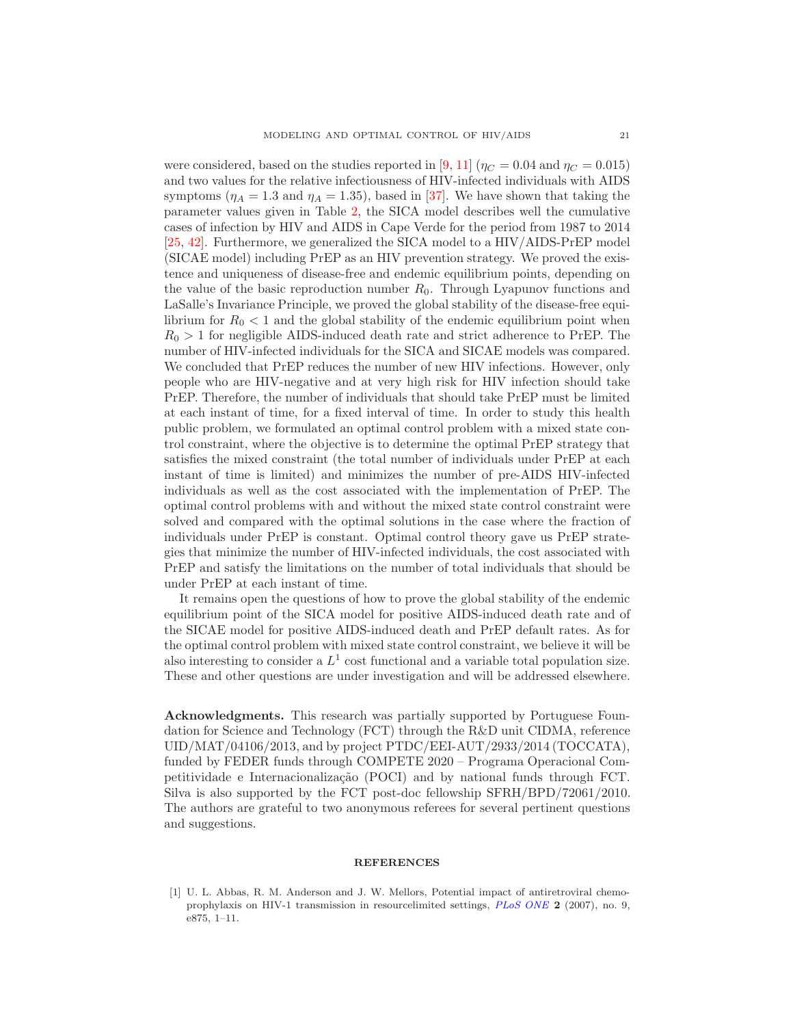were considered, based on the studies reported in [\[9,](#page-21-9) [11\]](#page-21-10) ( $\eta_C = 0.04$  and  $\eta_C = 0.015$ ) and two values for the relative infectiousness of HIV-infected individuals with AIDS symptoms ( $\eta_A = 1.3$  and  $\eta_A = 1.35$ ), based in [\[37\]](#page-22-5). We have shown that taking the parameter values given in Table [2,](#page-8-1) the SICA model describes well the cumulative cases of infection by HIV and AIDS in Cape Verde for the period from 1987 to 2014 [\[25,](#page-21-6) [42\]](#page-22-14). Furthermore, we generalized the SICA model to a HIV/AIDS-PrEP model (SICAE model) including PrEP as an HIV prevention strategy. We proved the existence and uniqueness of disease-free and endemic equilibrium points, depending on the value of the basic reproduction number  $R_0$ . Through Lyapunov functions and LaSalle's Invariance Principle, we proved the global stability of the disease-free equilibrium for  $R_0 < 1$  and the global stability of the endemic equilibrium point when  $R_0 > 1$  for negligible AIDS-induced death rate and strict adherence to PrEP. The number of HIV-infected individuals for the SICA and SICAE models was compared. We concluded that PrEP reduces the number of new HIV infections. However, only people who are HIV-negative and at very high risk for HIV infection should take PrEP. Therefore, the number of individuals that should take PrEP must be limited at each instant of time, for a fixed interval of time. In order to study this health public problem, we formulated an optimal control problem with a mixed state control constraint, where the objective is to determine the optimal PrEP strategy that satisfies the mixed constraint (the total number of individuals under PrEP at each instant of time is limited) and minimizes the number of pre-AIDS HIV-infected individuals as well as the cost associated with the implementation of PrEP. The optimal control problems with and without the mixed state control constraint were solved and compared with the optimal solutions in the case where the fraction of individuals under PrEP is constant. Optimal control theory gave us PrEP strategies that minimize the number of HIV-infected individuals, the cost associated with PrEP and satisfy the limitations on the number of total individuals that should be under PrEP at each instant of time.

It remains open the questions of how to prove the global stability of the endemic equilibrium point of the SICA model for positive AIDS-induced death rate and of the SICAE model for positive AIDS-induced death and PrEP default rates. As for the optimal control problem with mixed state control constraint, we believe it will be also interesting to consider a  $L^1$  cost functional and a variable total population size. These and other questions are under investigation and will be addressed elsewhere.

Acknowledgments. This research was partially supported by Portuguese Foundation for Science and Technology (FCT) through the R&D unit CIDMA, reference UID/MAT/04106/2013, and by project PTDC/EEI-AUT/2933/2014 (TOCCATA), funded by FEDER funds through COMPETE 2020 – Programa Operacional Competitividade e Internacionalização (POCI) and by national funds through FCT. Silva is also supported by the FCT post-doc fellowship SFRH/BPD/72061/2010. The authors are grateful to two anonymous referees for several pertinent questions and suggestions.

## **REFERENCES**

<span id="page-20-0"></span>[1] U. L. Abbas, R. M. Anderson and J. W. Mellors, Potential impact of antiretroviral chemoprophylaxis on HIV-1 transmission in resourcelimited settings, *[PLoS ONE](http://dx.doi.org/10.1371/journal.pone.0000875)* 2 (2007), no. 9, e875, 1–11.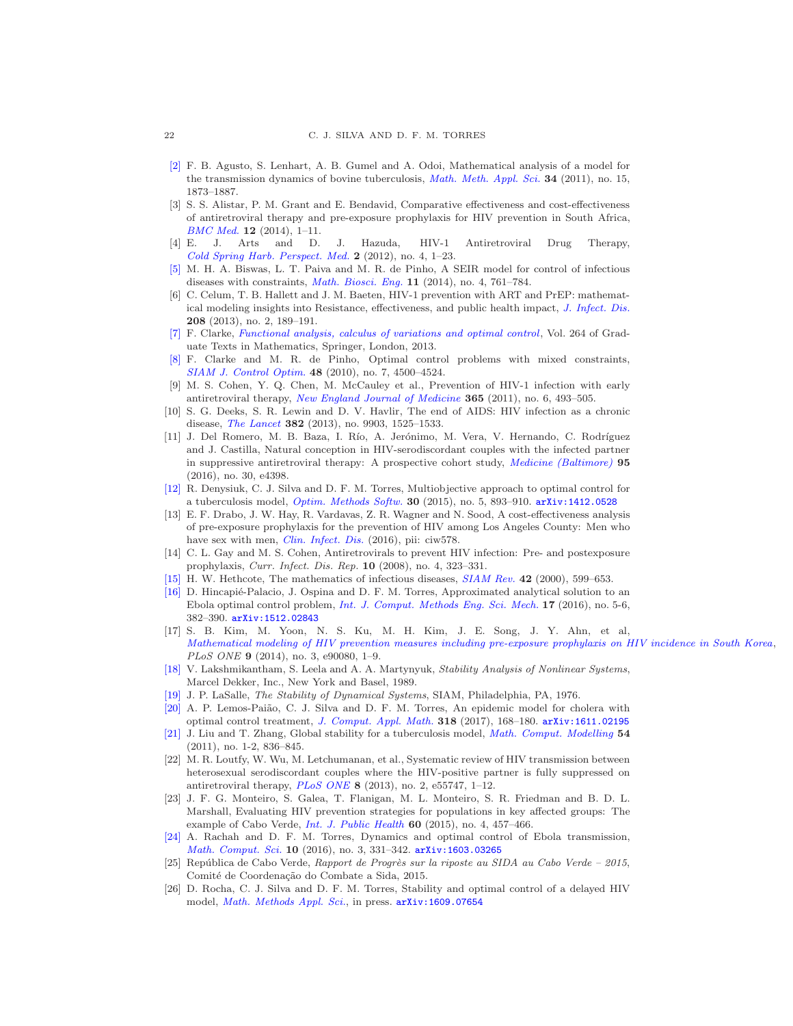- [\[2\]](http://www.ams.org/mathscinet-getitem?mr=MR2838274&return=pdf) F. B. Agusto, S. Lenhart, A. B. Gumel and A. Odoi, Mathematical analysis of a model for the transmission dynamics of bovine tuberculosis, *[Math. Meth. Appl. Sci.](http://dx.doi.org/10.1002/mma.1486)* 34 (2011), no. 15, 1873–1887.
- <span id="page-21-5"></span>[3] S. S. Alistar, P. M. Grant and E. Bendavid, Comparative effectiveness and cost-effectiveness of antiretroviral therapy and pre-exposure prophylaxis for HIV prevention in South Africa, *[BMC Med.](http://dx.doi.org/10.1186/1741-7015-12-46)* 12 (2014), 1–11.
- <span id="page-21-0"></span>[4] E. J. Arts and D. J. Hazuda, HIV-1 Antiretroviral Drug Therapy, *[Cold Spring Harb. Perspect. Med.](http://dx.doi.org/10.1101/cshperspect.a007161)* 2 (2012), no. 4, 1–23.
- <span id="page-21-22"></span>[\[5\]](http://www.ams.org/mathscinet-getitem?mr=MR3181992&return=pdf) M. H. A. Biswas, L. T. Paiva and M. R. de Pinho, A SEIR model for control of infectious diseases with constraints, *[Math. Biosci. Eng.](http://dx.doi.org/10.3934/mbe.2014.11.761)* 11 (2014), no. 4, 761–784.
- <span id="page-21-3"></span>[6] C. Celum, T. B. Hallett and J. M. Baeten, HIV-1 prevention with ART and PrEP: mathematical modeling insights into Resistance, effectiveness, and public health impact, *[J. Infect. Dis.](http://dx.doi.org/10.1093/infdis/jit154)* 208 (2013), no. 2, 189–191.
- <span id="page-21-23"></span>[\[7\]](http://www.ams.org/mathscinet-getitem?mr=MR3026831&return=pdf) F. Clarke, *[Functional analysis, calculus of variations and optimal control](http://dx.doi.org/10.1007/978-1-4471-4820-3)*, Vol. 264 of Graduate Texts in Mathematics, Springer, London, 2013.
- <span id="page-21-24"></span>[\[8\]](http://www.ams.org/mathscinet-getitem?mr=MR2683896&return=pdf) F. Clarke and M. R. de Pinho, Optimal control problems with mixed constraints, *[SIAM J. Control Optim.](http://dx.doi.org/10.1137/090757642)* 48 (2010), no. 7, 4500–4524.
- <span id="page-21-9"></span>[9] M. S. Cohen, Y. Q. Chen, M. McCauley et al., Prevention of HIV-1 infection with early antiretroviral therapy, *[New England Journal of Medicine](http://dx.doi.org/10.1056/NEJMoa1105243)* 365 (2011), no. 6, 493–505.
- <span id="page-21-7"></span>[10] S. G. Deeks, S. R. Lewin and D. V. Havlir, The end of AIDS: HIV infection as a chronic disease, *[The Lancet](http://dx.doi.org/10.1016/S0140-6736(13)61809-7)* 382 (2013), no. 9903, 1525–1533.
- <span id="page-21-10"></span>[11] J. Del Romero, M. B. Baza, I. Río, A. Jerónimo, M. Vera, V. Hernando, C. Rodríguez and J. Castilla, Natural conception in HIV-serodiscordant couples with the infected partner in suppressive antiretroviral therapy: A prospective cohort study, *[Medicine \(Baltimore\)](http://dx.doi.org/10.1097/MD.0000000000004398)* 95 (2016), no. 30, e4398.
- <span id="page-21-12"></span>[\[12\]](http://www.ams.org/mathscinet-getitem?mr=MR3388961&return=pdf) R. Denysiuk, C. J. Silva and D. F. M. Torres, Multiobjective approach to optimal control for a tuberculosis model, *[Optim. Methods Softw.](http://dx.doi.org/10.1080/10556788.2014.994704)* 30 (2015), no. 5, 893–910. [arXiv:1412.0528](http://arxiv.org/pdf/1412.0528)
- <span id="page-21-2"></span>[13] E. F. Drabo, J. W. Hay, R. Vardavas, Z. R. Wagner and N. Sood, A cost-effectiveness analysis of pre-exposure prophylaxis for the prevention of HIV among Los Angeles County: Men who have sex with men, *[Clin. Infect. Dis.](http://dx.doi.org/10.1093/cid/ciw578)* (2016), pii: ciw578.
- <span id="page-21-1"></span>[14] C. L. Gay and M. S. Cohen, Antiretrovirals to prevent HIV infection: Pre- and postexposure prophylaxis, *Curr. Infect. Dis. Rep.* 10 (2008), no. 4, 323–331.
- <span id="page-21-18"></span><span id="page-21-13"></span>[\[15\]](http://www.ams.org/mathscinet-getitem?mr=MR1814049&return=pdf) H. W. Hethcote, The mathematics of infectious diseases, *[SIAM Rev.](http://dx.doi.org/10.1137/S0036144500371907)* 42 (2000), 599–653.
- [\[16\]](http://www.ams.org/mathscinet-getitem?mr=MR3578107&return=pdf) D. Hincapié-Palacio, J. Ospina and D. F. M. Torres, Approximated analytical solution to an Ebola optimal control problem, *[Int. J. Comput. Methods Eng. Sci. Mech.](http://dx.doi.org/10.1080/15502287.2016.1231236)* 17 (2016), no. 5-6, 382–390. [arXiv:1512.02843](http://arxiv.org/pdf/1512.02843)
- <span id="page-21-4"></span>[17] S. B. Kim, M. Yoon, N. S. Ku, M. H. Kim, J. E. Song, J. Y. Ahn, et al, *[Mathematical modeling of HIV prevention measures including pre-exposure prophylaxis on HIV incidence in South Korea](http://dx.doi.org/10.1371/journal.pone.0090080)*, *PLoS ONE* 9 (2014), no. 3, e90080, 1–9.
- <span id="page-21-17"></span>[\[18\]](http://www.ams.org/mathscinet-getitem?mr=MR0984861&return=pdf) V. Lakshmikantham, S. Leela and A. A. Martynyuk, *Stability Analysis of Nonlinear Systems*, Marcel Dekker, Inc., New York and Basel, 1989.
- <span id="page-21-20"></span><span id="page-21-15"></span>[\[19\]](http://www.ams.org/mathscinet-getitem?mr=MR0481301&return=pdf) J. P. LaSalle, *The Stability of Dynamical Systems*, SIAM, Philadelphia, PA, 1976.
- [\[20\]](http://www.ams.org/mathscinet-getitem?mr=MR3602689&return=pdf) A. P. Lemos-Paião, C. J. Silva and D. F. M. Torres, An epidemic model for cholera with optimal control treatment, *[J. Comput. Appl. Math.](http://dx.doi.org/10.1016/j.cam.2016.11.002)* 318 (2017), 168–180. [arXiv:1611.02195](http://arxiv.org/pdf/1611.02195)
- <span id="page-21-21"></span>[\[21\]](http://www.ams.org/mathscinet-getitem?mr=MR2801936&return=pdf) J. Liu and T. Zhang, Global stability for a tuberculosis model, *[Math. Comput. Modelling](http://dx.doi.org/10.1016/j.mcm.2011.03.033)* 54 (2011), no. 1-2, 836–845.
- <span id="page-21-8"></span>[22] M. R. Loutfy, W. Wu, M. Letchumanan, et al., Systematic review of HIV transmission between heterosexual serodiscordant couples where the HIV-positive partner is fully suppressed on antiretroviral therapy, *[PLoS ONE](http://dx.doi.org/10.1371/journal.pone.0055747)* 8 (2013), no. 2, e55747, 1–12.
- <span id="page-21-11"></span>[23] J. F. G. Monteiro, S. Galea, T. Flanigan, M. L. Monteiro, S. R. Friedman and B. D. L. Marshall, Evaluating HIV prevention strategies for populations in key affected groups: The example of Cabo Verde, *[Int. J. Public Health](http://dx.doi.org/10.1007/s00038-015-0676-9)* 60 (2015), no. 4, 457–466.
- <span id="page-21-14"></span>[\[24\]](http://www.ams.org/mathscinet-getitem?mr=MR3544685&return=pdf) A. Rachah and D. F. M. Torres, Dynamics and optimal control of Ebola transmission, *[Math. Comput. Sci.](http://dx.doi.org/10.1007/s11786-016-0268-y)* 10 (2016), no. 3, 331–342. [arXiv:1603.03265](http://arxiv.org/pdf/1603.03265)
- <span id="page-21-6"></span>[25] Rep´ublica de Cabo Verde, *Rapport de Progr`es sur la riposte au SIDA au Cabo Verde – 2015*, Comité de Coordenação do Combate a Sida, 2015.
- <span id="page-21-16"></span>[26] D. Rocha, C. J. Silva and D. F. M. Torres, Stability and optimal control of a delayed HIV model, *[Math. Methods Appl. Sci.](http://dx.doi.org/10.1002/mma.4207)*, in press. [arXiv:1609.07654](http://arxiv.org/pdf/1609.07654)

<span id="page-21-19"></span>